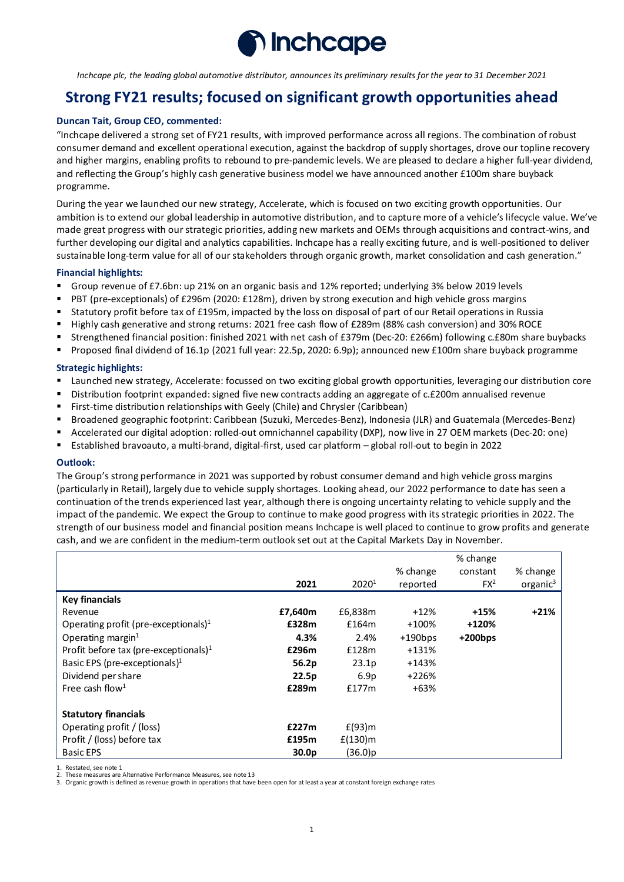

*Inchcape plc, the leading global automotive distributor, announces its preliminary results for the year to 31 December 2021*

# **Strong FY21 results; focused on significant growth opportunities ahead**

### **Duncan Tait, Group CEO, commented:**

"Inchcape delivered a strong set of FY21 results, with improved performance across all regions. The combination of robust consumer demand and excellent operational execution, against the backdrop of supply shortages, drove our topline recovery and higher margins, enabling profits to rebound to pre-pandemic levels. We are pleased to declare a higher full-year dividend, and reflecting the Group's highly cash generative business model we have announced another £100m share buyback programme.

During the year we launched our new strategy, Accelerate, which is focused on two exciting growth opportunities. Our ambition is to extend our global leadership in automotive distribution, and to capture more of a vehicle's lifecycle value. We've made great progress with our strategic priorities, adding new markets and OEMs through acquisitions and contract-wins, and further developing our digital and analytics capabilities. Inchcape has a really exciting future, and is well-positioned to deliver sustainable long-term value for all of our stakeholders through organic growth, market consolidation and cash generation."

#### **Financial highlights:**

- Group revenue of £7.6bn: up 21% on an organic basis and 12% reported; underlying 3% below 2019 levels
- PBT (pre-exceptionals) of £296m (2020: £128m), driven by strong execution and high vehicle gross margins
- Statutory profit before tax of £195m, impacted by the loss on disposal of part of our Retail operations in Russia
- Highly cash generative and strong returns: 2021 free cash flow of £289m (88% cash conversion) and 30% ROCE
- Strengthened financial position: finished 2021 with net cash of £379m (Dec-20: £266m) following c.£80m share buybacks
- Proposed final dividend of 16.1p (2021 full year: 22.5p, 2020: 6.9p); announced new £100m share buyback programme

#### **Strategic highlights:**

- Launched new strategy, Accelerate: focussed on two exciting global growth opportunities, leveraging our distribution core
- Distribution footprint expanded: signed five new contracts adding an aggregate of c.£200m annualised revenue
- First-time distribution relationships with Geely (Chile) and Chrysler (Caribbean)
- Broadened geographic footprint: Caribbean (Suzuki, Mercedes-Benz), Indonesia (JLR) and Guatemala (Mercedes-Benz)
- Accelerated our digital adoption: rolled-out omnichannel capability (DXP), now live in 27 OEM markets (Dec-20: one)
- Established bravoauto, a multi-brand, digital-first, used car platform global roll-out to begin in 2022

#### **Outlook:**

The Group's strong performance in 2021 was supported by robust consumer demand and high vehicle gross margins (particularly in Retail), largely due to vehicle supply shortages. Looking ahead, our 2022 performance to date has seen a continuation of the trends experienced last year, although there is ongoing uncertainty relating to vehicle supply and the impact of the pandemic. We expect the Group to continue to make good progress with its strategic priorities in 2022. The strength of our business model and financial position means Inchcape is well placed to continue to grow profits and generate cash, and we are confident in the medium-term outlook set out at the Capital Markets Day in November.

|                                                   |                   |                   |            | % change   |                      |
|---------------------------------------------------|-------------------|-------------------|------------|------------|----------------------|
|                                                   |                   |                   | % change   | constant   | % change             |
|                                                   | 2021              | 2020 <sup>1</sup> | reported   | $FX^2$     | organic <sup>3</sup> |
| <b>Key financials</b>                             |                   |                   |            |            |                      |
| Revenue                                           | £7,640m           | £6,838m           | $+12%$     | $+15%$     | $+21%$               |
| Operating profit (pre-exceptionals) $1$           | £328m             | £164m             | +100%      | +120%      |                      |
| Operating margin $1$                              | 4.3%              | 2.4%              | $+190$ bps | $+200$ bps |                      |
| Profit before tax (pre-exceptionals) <sup>1</sup> | £296m             | £128m             | +131%      |            |                      |
| Basic EPS (pre-exceptionals) $1$                  | 56.2p             | 23.1 <sub>p</sub> | $+143%$    |            |                      |
| Dividend per share                                | 22.5p             | 6.9 <sub>p</sub>  | $+226%$    |            |                      |
| Free cash flow <sup>1</sup>                       | £289m             | £177m             | $+63%$     |            |                      |
| <b>Statutory financials</b>                       |                   |                   |            |            |                      |
| Operating profit / (loss)                         | £227m             | $E(93)$ m         |            |            |                      |
| Profit / (loss) before tax                        | £195m             | $f(130)$ m        |            |            |                      |
| <b>Basic EPS</b>                                  | 30.0 <sub>p</sub> | $(36.0)$ p        |            |            |                      |

1. Restated, see note 1

2. These measures are Alternative Performance Measures, see note 13

3. Organic growth is defined as revenue growth in operations that have been open for at least a year at constant foreign exchange rates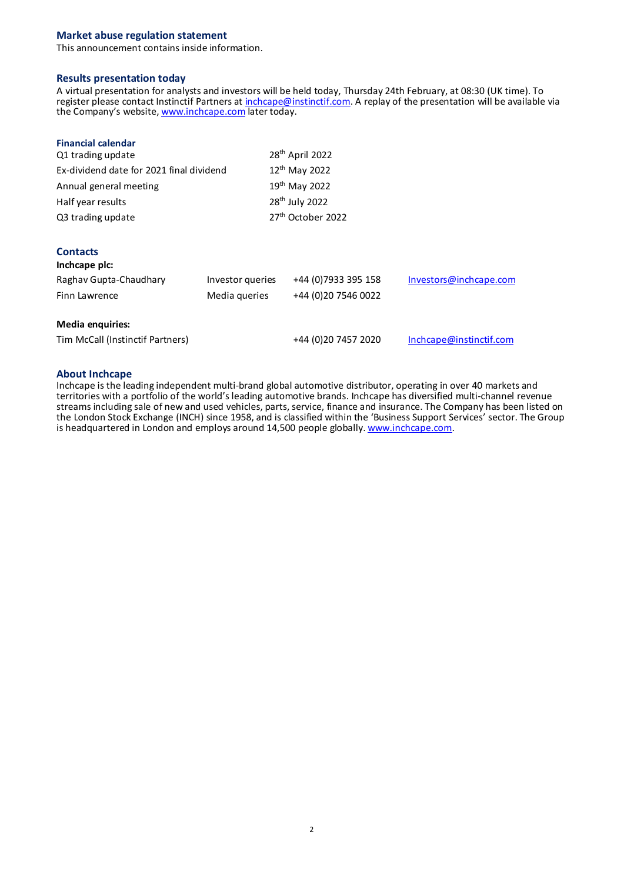## **Market abuse regulation statement**

This announcement contains inside information.

### **Results presentation today**

A virtual presentation for analysts and investors will be held today, Thursday 24th February, at 08:30 (UK time). To register please contact Instinctif Partners at inchcape@instinctif.com. A replay of the presentation will be available via the Company's website, www.inchcape.com later today.

| <b>Financial calendar</b>                |                  |                               |                         |  |
|------------------------------------------|------------------|-------------------------------|-------------------------|--|
| Q1 trading update                        |                  | 28 <sup>th</sup> April 2022   |                         |  |
| Ex-dividend date for 2021 final dividend |                  | 12 <sup>th</sup> May 2022     |                         |  |
| Annual general meeting                   |                  | 19 <sup>th</sup> May 2022     |                         |  |
| Half year results                        |                  | 28 <sup>th</sup> July 2022    |                         |  |
| Q3 trading update                        |                  | 27 <sup>th</sup> October 2022 |                         |  |
|                                          |                  |                               |                         |  |
| <b>Contacts</b><br>Inchcape plc:         |                  |                               |                         |  |
| Raghav Gupta-Chaudhary                   | Investor queries | +44 (0) 7933 395 158          | Investors@inchcape.com  |  |
| Finn Lawrence                            | Media queries    | +44 (0)20 7546 0022           |                         |  |
|                                          |                  |                               |                         |  |
| <b>Media enquiries:</b>                  |                  |                               |                         |  |
| Tim McCall (Instinctif Partners)         |                  | +44 (0)20 7457 2020           | Inchcape@instinctif.com |  |

## **About Inchcape**

Inchcape is the leading independent multi-brand global automotive distributor, operating in over 40 markets and territories with a portfolio of the world's leading automotive brands. Inchcape has diversified multi-channel revenue streams including sale of new and used vehicles, parts, service, finance and insurance. The Company has been listed on the London Stock Exchange (INCH) since 1958, and is classified within the 'Business Support Services' sector. The Group is headquartered in London and employs around 14,500 people globally. www.inchcape.com.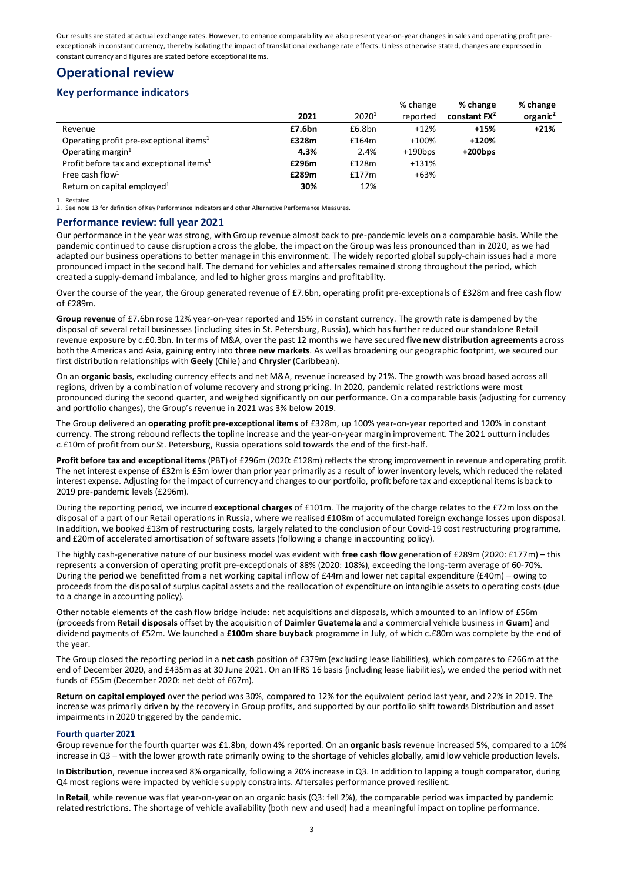Our results are stated at actual exchange rates. However, to enhance comparability we also present year-on-year changes in sales and operating profit preexceptionals in constant currency, thereby isolating the impact of translational exchange rate effects. Unless otherwise stated, changes are expressed in constant currency and figures are stated before exceptional items.

# **Operational review**

## **Key performance indicators**

|                                                      |        |                   | % change   | % change                 | % change             |
|------------------------------------------------------|--------|-------------------|------------|--------------------------|----------------------|
|                                                      | 2021   | 2020 <sup>1</sup> | reported   | constant FX <sup>2</sup> | organic <sup>2</sup> |
| Revenue                                              | £7.6bn | £6.8bn            | $+12%$     | $+15%$                   | $+21%$               |
| Operating profit pre-exceptional items <sup>1</sup>  | £328m  | £164m             | +100%      | +120%                    |                      |
| Operating margin $1$                                 | 4.3%   | 2.4%              | $+190$ bps | $+200$ bps               |                      |
| Profit before tax and exceptional items <sup>1</sup> | £296m  | £128m             | +131%      |                          |                      |
| Free cash flow <sup>1</sup>                          | £289m  | f177m             | $+63%$     |                          |                      |
| Return on capital employed <sup>1</sup>              | 30%    | 12%               |            |                          |                      |

1. Restated

2. See note 13 for definition of Key Performance Indicators and other Alternative Performance Measures.

### **Performance review: full year 2021**

Our performance in the year was strong, with Group revenue almost back to pre-pandemic levels on a comparable basis. While the pandemic continued to cause disruption across the globe, the impact on the Group was less pronounced than in 2020, as we had adapted our business operations to better manage in this environment. The widely reported global supply-chain issues had a more pronounced impact in the second half. The demand for vehicles and aftersales remained strong throughout the period, which created a supply-demand imbalance, and led to higher gross margins and profitability.

Over the course of the year, the Group generated revenue of £7.6bn, operating profit pre-exceptionals of £328m and free cash flow of £289m.

**Group revenue** of £7.6bn rose 12% year-on-year reported and 15% in constant currency. The growth rate is dampened by the disposal of several retail businesses (including sites in St. Petersburg, Russia), which has further reduced our standalone Retail revenue exposure by c.£0.3bn. In terms of M&A, over the past 12 months we have secured **five new distribution agreements** across both the Americas and Asia, gaining entry into **three new markets**. As well as broadening our geographic footprint, we secured our first distribution relationships with **Geely** (Chile) and **Chrysler** (Caribbean).

On an **organic basis**, excluding currency effects and net M&A, revenue increased by 21%. The growth was broad based across all regions, driven by a combination of volume recovery and strong pricing. In 2020, pandemic related restrictions were most pronounced during the second quarter, and weighed significantly on our performance. On a comparable basis (adjusting for currency and portfolio changes), the Group's revenue in 2021 was 3% below 2019.

The Group delivered an **operating profit pre-exceptional items** of £328m, up 100% year-on-year reported and 120% in constant currency. The strong rebound reflects the topline increase and the year-on-year margin improvement. The 2021 outturn includes c.£10m of profit from our St. Petersburg, Russia operations sold towards the end of the first-half.

**Profit before tax and exceptional items** (PBT) of £296m (2020: £128m) reflects the strong improvement in revenue and operating profit. The net interest expense of £32m is £5m lower than prior year primarily as a result of lower inventory levels, which reduced the related interest expense. Adjusting for the impact of currency and changes to our portfolio, profit before tax and exceptional items is back to 2019 pre-pandemic levels (£296m).

During the reporting period, we incurred **exceptional charges** of £101m. The majority of the charge relates to the £72m loss on the disposal of a part of our Retail operations in Russia, where we realised £108m of accumulated foreign exchange losses upon disposal. In addition, we booked £13m of restructuring costs, largely related to the conclusion of our Covid-19 cost restructuring programme, and £20m of accelerated amortisation of software assets (following a change in accounting policy).

The highly cash-generative nature of our business model was evident with **free cash flow** generation of £289m (2020: £177m) – this represents a conversion of operating profit pre-exceptionals of 88% (2020: 108%), exceeding the long-term average of 60-70%. During the period we benefitted from a net working capital inflow of £44m and lower net capital expenditure (£40m) – owing to proceeds from the disposal of surplus capital assets and the reallocation of expenditure on intangible assets to operating costs (due to a change in accounting policy).

Other notable elements of the cash flow bridge include: net acquisitions and disposals, which amounted to an inflow of £56m (proceeds from **Retail disposals** offset by the acquisition of **Daimler Guatemala** and a commercial vehicle business in **Guam**) and dividend payments of £52m. We launched a **£100m share buyback** programme in July, of which c.£80m was complete by the end of the year.

The Group closed the reporting period in a **net cash** position of £379m (excluding lease liabilities), which compares to £266m at the end of December 2020, and £435m as at 30 June 2021. On an IFRS 16 basis (including lease liabilities), we ended the period with net funds of £55m (December 2020: net debt of £67m).

**Return on capital employed** over the period was 30%, compared to 12% for the equivalent period last year, and 22% in 2019. The increase was primarily driven by the recovery in Group profits, and supported by our portfolio shift towards Distribution and asset impairments in 2020 triggered by the pandemic.

### **Fourth quarter 2021**

Group revenue for the fourth quarter was £1.8bn, down 4% reported. On an **organic basis** revenue increased 5%, compared to a 10% increase in Q3 – with the lower growth rate primarily owing to the shortage of vehicles globally, amid low vehicle production levels.

In **Distribution**, revenue increased 8% organically, following a 20% increase in Q3. In addition to lapping a tough comparator, during Q4 most regions were impacted by vehicle supply constraints. Aftersales performance proved resilient.

In **Retail**, while revenue was flat year-on-year on an organic basis (Q3: fell 2%), the comparable period was impacted by pandemic related restrictions. The shortage of vehicle availability (both new and used) had a meaningful impact on topline performance.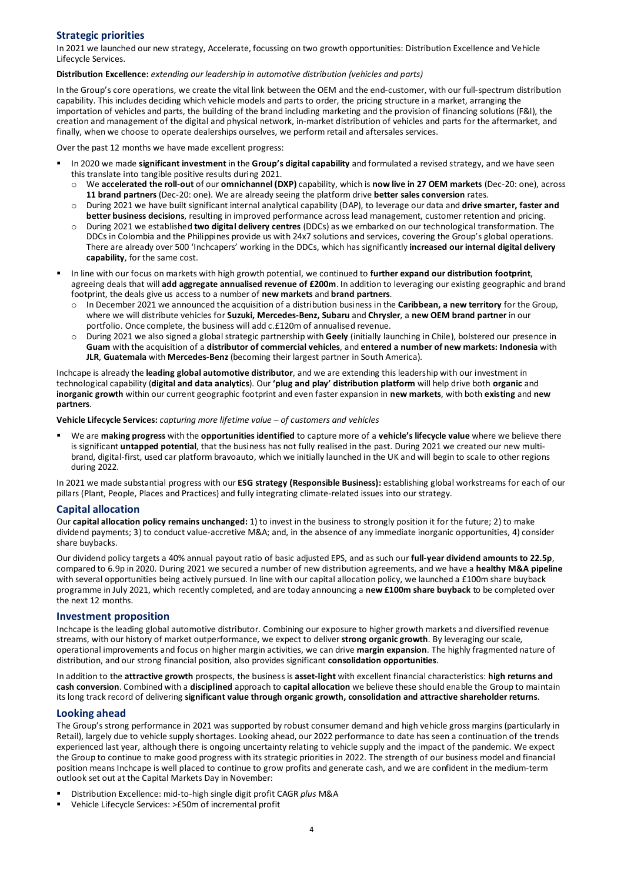## **Strategic priorities**

In 2021 we launched our new strategy, Accelerate, focussing on two growth opportunities: Distribution Excellence and Vehicle Lifecycle Services.

#### **Distribution Excellence:** *extending our leadership in automotive distribution (vehicles and parts)*

In the Group's core operations, we create the vital link between the OEM and the end-customer, with our full-spectrum distribution capability. This includes deciding which vehicle models and parts to order, the pricing structure in a market, arranging the importation of vehicles and parts, the building of the brand including marketing and the provision of financing solutions (F&I), the creation and management of the digital and physical network, in-market distribution of vehicles and parts for the aftermarket, and finally, when we choose to operate dealerships ourselves, we perform retail and aftersales services.

Over the past 12 months we have made excellent progress:

- In 2020 we made **significant investment** in the **Group's digital capability** and formulated a revised strategy, and we have seen this translate into tangible positive results during 2021.
	- o We **accelerated the roll-out** of our **omnichannel (DXP)** capability, which is **now live in 27 OEM markets** (Dec-20: one), across **11 brand partners** (Dec-20: one). We are already seeing the platform drive **better sales conversion** rates.
	- o During 2021 we have built significant internal analytical capability (DAP), to leverage our data and **drive smarter, faster and better business decisions**, resulting in improved performance across lead management, customer retention and pricing.
	- o During 2021 we established **two digital delivery centres** (DDCs) as we embarked on our technological transformation. The DDCs in Colombia and the Philippines provide us with 24x7 solutions and services, covering the Group's global operations. There are already over 500 'Inchcapers' working in the DDCs, which has significantly **increased our internal digital delivery capability**, for the same cost.
- In line with our focus on markets with high growth potential, we continued to **further expand our distribution footprint**, agreeing deals that will **add aggregate annualised revenue of £200m**. In addition to leveraging our existing geographic and brand footprint, the deals give us access to a number of **new markets** and **brand partners**.
	- o In December 2021 we announced the acquisition of a distribution business in the **Caribbean, a new territory** for the Group, where we will distribute vehicles for **Suzuki, Mercedes-Benz, Subaru** and **Chrysler**, a **new OEM brand partner** in our portfolio. Once complete, the business will add c.£120m of annualised revenue.
	- o During 2021 we also signed a global strategic partnership with **Geely** (initially launching in Chile), bolstered our presence in **Guam** with the acquisition of a **distributor of commercial vehicles**, and **entered a number of new markets: Indonesia** with **JLR**, **Guatemala** with **Mercedes-Benz** (becoming their largest partner in South America).

Inchcape is already the **leading global automotive distributor**, and we are extending this leadership with our investment in technological capability (**digital and data analytics**). Our **'plug and play' distribution platform** will help drive both **organic** and **inorganic growth** within our current geographic footprint and even faster expansion in **new markets**, with both **existing** and **new partners**.

**Vehicle Lifecycle Services:** *capturing more lifetime value – of customers and vehicles*

 We are **making progress** with the **opportunities identified** to capture more of a **vehicle's lifecycle value** where we believe there is significant **untapped potential**, that the business has not fully realised in the past. During 2021 we created our new multibrand, digital-first, used car platform bravoauto, which we initially launched in the UK and will begin to scale to other regions during 2022.

In 2021 we made substantial progress with our **ESG strategy (Responsible Business):** establishing global workstreams for each of our pillars (Plant, People, Places and Practices) and fully integrating climate-related issues into our strategy.

## **Capital allocation**

Our **capital allocation policy remains unchanged:** 1) to invest in the business to strongly position it for the future; 2) to make dividend payments; 3) to conduct value-accretive M&A; and, in the absence of any immediate inorganic opportunities, 4) consider share buybacks.

Our dividend policy targets a 40% annual payout ratio of basic adjusted EPS, and as such our **full-year dividend amounts to 22.5p**, compared to 6.9p in 2020. During 2021 we secured a number of new distribution agreements, and we have a **healthy M&A pipeline** with several opportunities being actively pursued. In line with our capital allocation policy, we launched a £100m share buyback programme in July 2021, which recently completed, and are today announcing a **new £100m share buyback** to be completed over the next 12 months.

#### **Investment proposition**

Inchcape is the leading global automotive distributor. Combining our exposure to higher growth markets and diversified revenue streams, with our history of market outperformance, we expect to deliver **strong organic growth**. By leveraging our scale, operational improvements and focus on higher margin activities, we can drive **margin expansion**. The highly fragmented nature of distribution, and our strong financial position, also provides significant **consolidation opportunities**.

In addition to the **attractive growth** prospects, the business is **asset-light** with excellent financial characteristics: **high returns and cash conversion**. Combined with a **disciplined** approach to **capital allocation** we believe these should enable the Group to maintain its long track record of delivering **significant value through organic growth, consolidation and attractive shareholder returns**.

#### **Looking ahead**

The Group's strong performance in 2021 was supported by robust consumer demand and high vehicle gross margins (particularly in Retail), largely due to vehicle supply shortages. Looking ahead, our 2022 performance to date has seen a continuation of the trends experienced last year, although there is ongoing uncertainty relating to vehicle supply and the impact of the pandemic. We expect the Group to continue to make good progress with its strategic priorities in 2022. The strength of our business model and financial position means Inchcape is well placed to continue to grow profits and generate cash, and we are confident in the medium-term outlook set out at the Capital Markets Day in November:

- Distribution Excellence: mid-to-high single digit profit CAGR *plus* M&A
- Vehicle Lifecycle Services: >£50m of incremental profit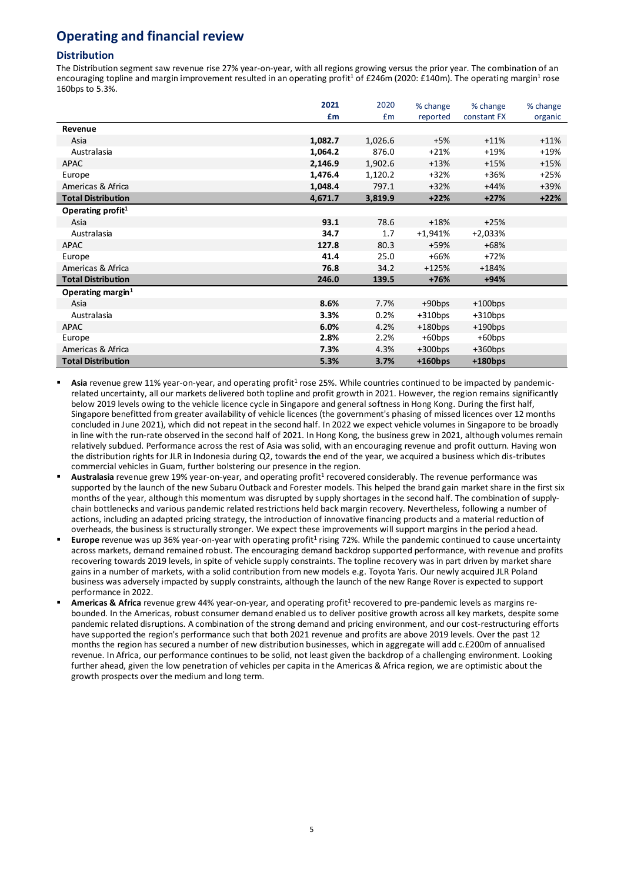# **Operating and financial review**

## **Distribution**

The Distribution segment saw revenue rise 27% year-on-year, with all regions growing versus the prior year. The combination of an encouraging topline and margin improvement resulted in an operating profit<sup>1</sup> of £246m (2020: £140m). The operating margin<sup>1</sup> rose 160bps to 5.3%.

|                           | 2021    | 2020    | % change   | % change    | % change |
|---------------------------|---------|---------|------------|-------------|----------|
|                           | £m      | £m      | reported   | constant FX | organic  |
| Revenue                   |         |         |            |             |          |
| Asia                      | 1,082.7 | 1,026.6 | $+5%$      | $+11%$      | $+11%$   |
| Australasia               | 1,064.2 | 876.0   | $+21%$     | $+19%$      | $+19%$   |
| <b>APAC</b>               | 2,146.9 | 1,902.6 | $+13%$     | $+15%$      | $+15%$   |
| Europe                    | 1,476.4 | 1,120.2 | $+32%$     | +36%        | $+25%$   |
| Americas & Africa         | 1,048.4 | 797.1   | $+32%$     | $+44%$      | +39%     |
| <b>Total Distribution</b> | 4,671.7 | 3,819.9 | $+22%$     | $+27%$      | $+22%$   |
| Operating profit $1$      |         |         |            |             |          |
| Asia                      | 93.1    | 78.6    | $+18%$     | $+25%$      |          |
| Australasia               | 34.7    | 1.7     | $+1,941%$  | $+2,033%$   |          |
| <b>APAC</b>               | 127.8   | 80.3    | +59%       | $+68%$      |          |
| Europe                    | 41.4    | 25.0    | $+66%$     | $+72%$      |          |
| Americas & Africa         | 76.8    | 34.2    | $+125%$    | $+184%$     |          |
| <b>Total Distribution</b> | 246.0   | 139.5   | $+76%$     | $+94%$      |          |
| Operating margin $1$      |         |         |            |             |          |
| Asia                      | 8.6%    | 7.7%    | $+90$ bps  | $+100$ bps  |          |
| Australasia               | 3.3%    | 0.2%    | $+310bps$  | $+310bps$   |          |
| APAC                      | 6.0%    | 4.2%    | $+180$ bps | $+190$ bps  |          |
| Europe                    | 2.8%    | 2.2%    | +60bps     | $+60$ bps   |          |
| Americas & Africa         | 7.3%    | 4.3%    | $+300$ bps | $+360bps$   |          |
| <b>Total Distribution</b> | 5.3%    | 3.7%    | $+160bps$  | $+180bps$   |          |

- Asia revenue grew 11% year-on-year, and operating profit<sup>1</sup> rose 25%. While countries continued to be impacted by pandemicrelated uncertainty, all our markets delivered both topline and profit growth in 2021. However, the region remains significantly below 2019 levels owing to the vehicle licence cycle in Singapore and general softness in Hong Kong. During the first half, Singapore benefitted from greater availability of vehicle licences (the government's phasing of missed licences over 12 months concluded in June 2021), which did not repeat in the second half. In 2022 we expect vehicle volumes in Singapore to be broadly in line with the run-rate observed in the second half of 2021. In Hong Kong, the business grew in 2021, although volumes remain relatively subdued. Performance across the rest of Asia was solid, with an encouraging revenue and profit outturn. Having won the distribution rights for JLR in Indonesia during Q2, towards the end of the year, we acquired a business which dis-tributes commercial vehicles in Guam, further bolstering our presence in the region.
- Australasia revenue grew 19% year-on-year, and operating profit<sup>1</sup> recovered considerably. The revenue performance was supported by the launch of the new Subaru Outback and Forester models. This helped the brand gain market share in the first six months of the year, although this momentum was disrupted by supply shortages in the second half. The combination of supplychain bottlenecks and various pandemic related restrictions held back margin recovery. Nevertheless, following a number of actions, including an adapted pricing strategy, the introduction of innovative financing products and a material reduction of overheads, the business is structurally stronger. We expect these improvements will support margins in the period ahead.
- **Europe** revenue was up 36% year-on-year with operating profit<sup>1</sup> rising 72%. While the pandemic continued to cause uncertainty across markets, demand remained robust. The encouraging demand backdrop supported performance, with revenue and profits recovering towards 2019 levels, in spite of vehicle supply constraints. The topline recovery was in part driven by market share gains in a number of markets, with a solid contribution from new models e.g. Toyota Yaris. Our newly acquired JLR Poland business was adversely impacted by supply constraints, although the launch of the new Range Rover is expected to support performance in 2022.
- Americas & Africa revenue grew 44% year-on-year, and operating profit<sup>1</sup> recovered to pre-pandemic levels as margins rebounded. In the Americas, robust consumer demand enabled us to deliver positive growth across all key markets, despite some pandemic related disruptions. A combination of the strong demand and pricing environment, and our cost-restructuring efforts have supported the region's performance such that both 2021 revenue and profits are above 2019 levels. Over the past 12 months the region has secured a number of new distribution businesses, which in aggregate will add c.£200m of annualised revenue. In Africa, our performance continues to be solid, not least given the backdrop of a challenging environment. Looking further ahead, given the low penetration of vehicles per capita in the Americas & Africa region, we are optimistic about the growth prospects over the medium and long term.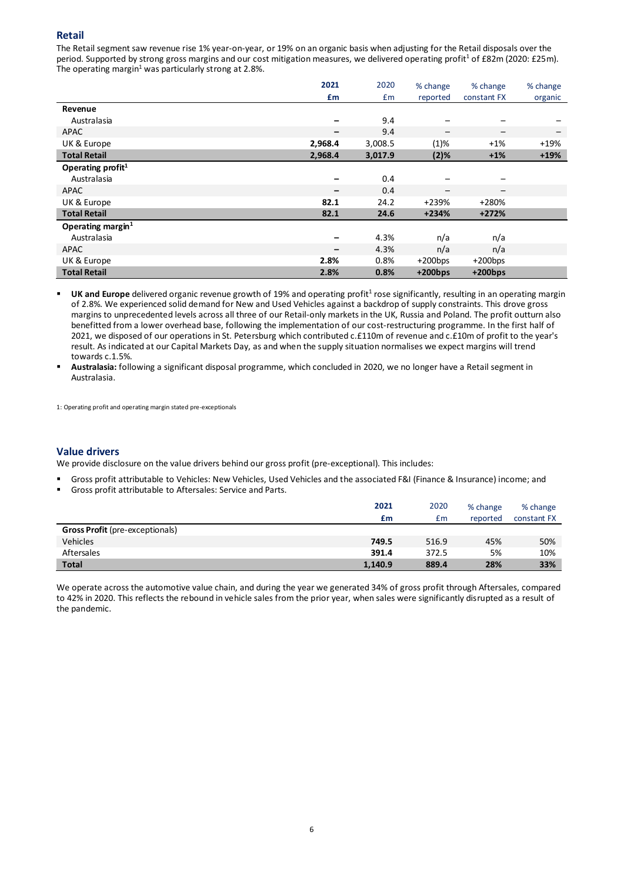## **Retail**

The Retail segment saw revenue rise 1% year-on-year, or 19% on an organic basis when adjusting for the Retail disposals over the period. Supported by strong gross margins and our cost mitigation measures, we delivered operating profit<sup>1</sup> of £82m (2020: £25m). The operating margin<sup>1</sup> was particularly strong at 2.8%.

|                      | 2021    | 2020    | % change   | % change                 | % change                 |
|----------------------|---------|---------|------------|--------------------------|--------------------------|
|                      | £m      | £m      | reported   | constant FX              | organic                  |
| Revenue              |         |         |            |                          |                          |
| Australasia          |         | 9.4     |            |                          |                          |
| <b>APAC</b>          | -       | 9.4     | —          | $\overline{\phantom{m}}$ | $\overline{\phantom{0}}$ |
| UK & Europe          | 2,968.4 | 3,008.5 | $(1)\%$    | $+1\%$                   | $+19%$                   |
| <b>Total Retail</b>  | 2,968.4 | 3,017.9 | $(2)$ %    | $+1%$                    | $+19%$                   |
| Operating profit $1$ |         |         |            |                          |                          |
| Australasia          |         | 0.4     |            | $\qquad \qquad$          |                          |
| <b>APAC</b>          | -       | 0.4     | —          | $\qquad \qquad -$        |                          |
| UK & Europe          | 82.1    | 24.2    | +239%      | +280%                    |                          |
| <b>Total Retail</b>  | 82.1    | 24.6    | $+234%$    | $+272%$                  |                          |
| Operating margin $1$ |         |         |            |                          |                          |
| Australasia          |         | 4.3%    | n/a        | n/a                      |                          |
| APAC                 |         | 4.3%    | n/a        | n/a                      |                          |
| UK & Europe          | 2.8%    | 0.8%    | $+200$ bps | $+200$ bps               |                          |
| <b>Total Retail</b>  | 2.8%    | 0.8%    | $+200bps$  | $+200$ bps               |                          |

UK and Europe delivered organic revenue growth of 19% and operating profit<sup>1</sup> rose significantly, resulting in an operating margin of 2.8%. We experienced solid demand for New and Used Vehicles against a backdrop of supply constraints. This drove gross margins to unprecedented levels across all three of our Retail-only markets in the UK, Russia and Poland. The profit outturn also benefitted from a lower overhead base, following the implementation of our cost-restructuring programme. In the first half of 2021, we disposed of our operations in St. Petersburg which contributed c.£110m of revenue and c.£10m of profit to the year's result. As indicated at our Capital Markets Day, as and when the supply situation normalises we expect margins will trend towards c.1.5%.

 **Australasia:** following a significant disposal programme, which concluded in 2020, we no longer have a Retail segment in Australasia.

1: Operating profit and operating margin stated pre-exceptionals

## **Value drivers**

We provide disclosure on the value drivers behind our gross profit (pre-exceptional). This includes:

- Gross profit attributable to Vehicles: New Vehicles, Used Vehicles and the associated F&I (Finance & Insurance) income; and
- Gross profit attributable to Aftersales: Service and Parts.

|                                        | 2021    | 2020  | % change | % change    |
|----------------------------------------|---------|-------|----------|-------------|
|                                        | £m      | £m    | reported | constant FX |
| <b>Gross Profit</b> (pre-exceptionals) |         |       |          |             |
| <b>Vehicles</b>                        | 749.5   | 516.9 | 45%      | 50%         |
| Aftersales                             | 391.4   | 372.5 | 5%       | 10%         |
| <b>Total</b>                           | 1,140.9 | 889.4 | 28%      | 33%         |

We operate across the automotive value chain, and during the year we generated 34% of gross profit through Aftersales, compared to 42% in 2020. This reflects the rebound in vehicle sales from the prior year, when sales were significantly disrupted as a result of the pandemic.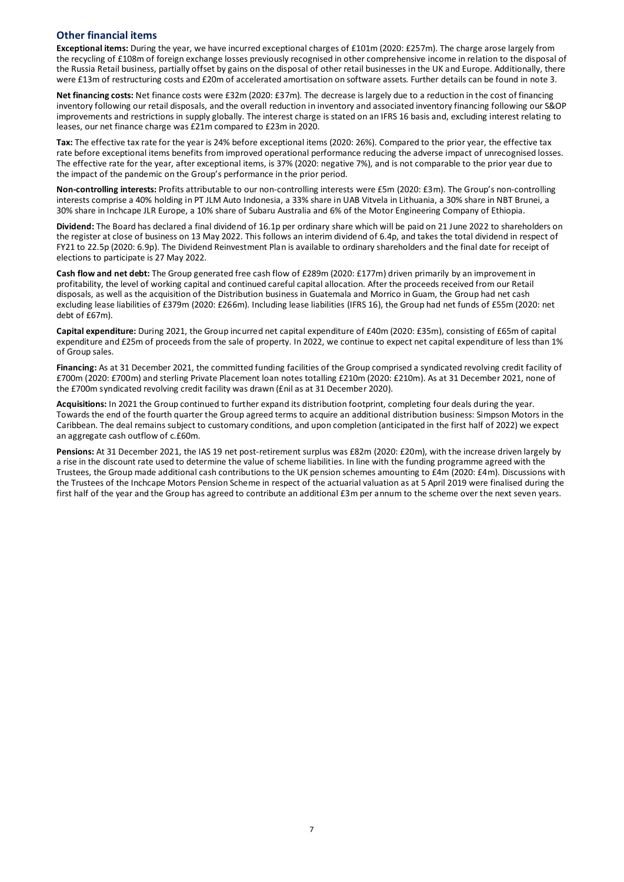## **Other financial items**

**Exceptional items:** During the year, we have incurred exceptional charges of £101m (2020: £257m). The charge arose largely from the recycling of £108m of foreign exchange losses previously recognised in other comprehensive income in relation to the disposal of the Russia Retail business, partially offset by gains on the disposal of other retail businesses in the UK and Europe. Additionally, there were £13m of restructuring costs and £20m of accelerated amortisation on software assets. Further details can be found in note 3.

**Net financing costs:** Net finance costs were £32m (2020: £37m). The decrease is largely due to a reduction in the cost of financing inventory following our retail disposals, and the overall reduction in inventory and associated inventory financing following our S&OP improvements and restrictions in supply globally. The interest charge is stated on an IFRS 16 basis and, excluding interest relating to leases, our net finance charge was £21m compared to £23m in 2020.

**Tax:** The effective tax rate for the year is 24% before exceptional items (2020: 26%). Compared to the prior year, the effective tax rate before exceptional items benefits from improved operational performance reducing the adverse impact of unrecognised losses. The effective rate for the year, after exceptional items, is 37% (2020: negative 7%), and is not comparable to the prior year due to the impact of the pandemic on the Group's performance in the prior period.

**Non-controlling interests:** Profits attributable to our non-controlling interests were £5m (2020: £3m). The Group's non-controlling interests comprise a 40% holding in PT JLM Auto Indonesia, a 33% share in UAB Vitvela in Lithuania, a 30% share in NBT Brunei, a 30% share in Inchcape JLR Europe, a 10% share of Subaru Australia and 6% of the Motor Engineering Company of Ethiopia.

**Dividend:** The Board has declared a final dividend of 16.1p per ordinary share which will be paid on 21 June 2022 to shareholders on the register at close of business on 13 May 2022. This follows an interim dividend of 6.4p, and takes the total dividend in respect of FY21 to 22.5p (2020: 6.9p). The Dividend Reinvestment Plan is available to ordinary shareholders and the final date for receipt of elections to participate is 27 May 2022.

**Cash flow and net debt:** The Group generated free cash flow of £289m (2020: £177m) driven primarily by an improvement in profitability, the level of working capital and continued careful capital allocation. After the proceeds received from our Retail disposals, as well as the acquisition of the Distribution business in Guatemala and Morrico in Guam, the Group had net cash excluding lease liabilities of £379m (2020: £266m). Including lease liabilities (IFRS 16), the Group had net funds of £55m (2020: net debt of £67m).

**Capital expenditure:** During 2021, the Group incurred net capital expenditure of £40m (2020: £35m), consisting of £65m of capital expenditure and £25m of proceeds from the sale of property. In 2022, we continue to expect net capital expenditure of less than 1% of Group sales.

**Financing:** As at 31 December 2021, the committed funding facilities of the Group comprised a syndicated revolving credit facility of £700m (2020: £700m) and sterling Private Placement loan notes totalling £210m (2020: £210m). As at 31 December 2021, none of the £700m syndicated revolving credit facility was drawn (£nil as at 31 December 2020).

**Acquisitions:** In 2021 the Group continued to further expand its distribution footprint, completing four deals during the year. Towards the end of the fourth quarter the Group agreed terms to acquire an additional distribution business: Simpson Motors in the Caribbean. The deal remains subject to customary conditions, and upon completion (anticipated in the first half of 2022) we expect an aggregate cash outflow of c.£60m.

**Pensions:** At 31 December 2021, the IAS 19 net post-retirement surplus was £82m (2020: £20m), with the increase driven largely by a rise in the discount rate used to determine the value of scheme liabilities. In line with the funding programme agreed with the Trustees, the Group made additional cash contributions to the UK pension schemes amounting to £4m (2020: £4m). Discussions with the Trustees of the Inchcape Motors Pension Scheme in respect of the actuarial valuation as at 5 April 2019 were finalised during the first half of the year and the Group has agreed to contribute an additional £3m per annum to the scheme over the next seven years.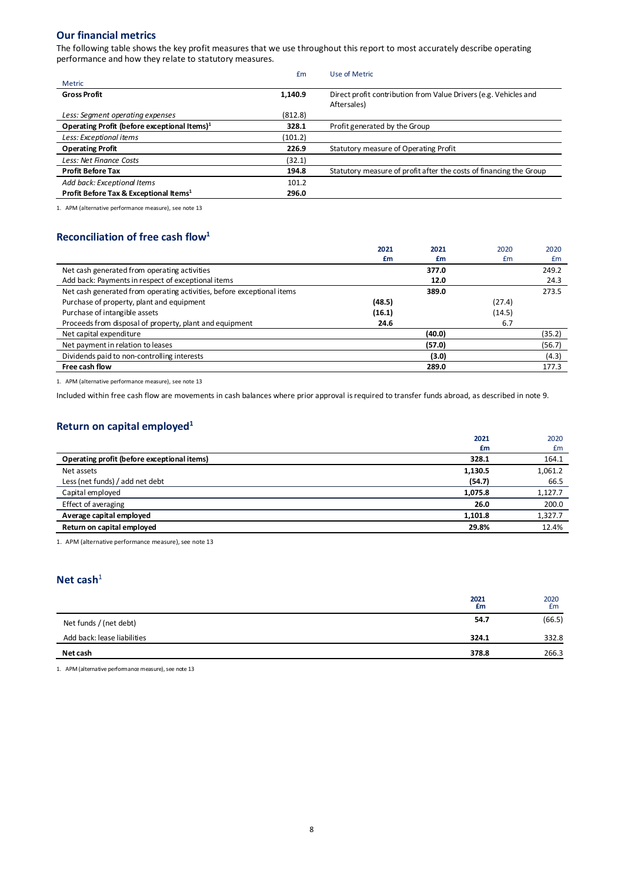## **Our financial metrics**

The following table shows the key profit measures that we use throughout this report to most accurately describe operating performance and how they relate to statutory measures.

|                                                          | Em      | Use of Metric                                                                   |
|----------------------------------------------------------|---------|---------------------------------------------------------------------------------|
| <b>Metric</b>                                            |         |                                                                                 |
| <b>Gross Profit</b>                                      | 1,140.9 | Direct profit contribution from Value Drivers (e.g. Vehicles and<br>Aftersales) |
| Less: Segment operating expenses                         | (812.8) |                                                                                 |
| Operating Profit (before exceptional Items) <sup>1</sup> | 328.1   | Profit generated by the Group                                                   |
| Less: Exceptional items                                  | (101.2) |                                                                                 |
| <b>Operating Profit</b>                                  | 226.9   | Statutory measure of Operating Profit                                           |
| Less: Net Finance Costs                                  | (32.1)  |                                                                                 |
| <b>Profit Before Tax</b>                                 | 194.8   | Statutory measure of profit after the costs of financing the Group              |
| Add back: Exceptional Items                              | 101.2   |                                                                                 |
| Profit Before Tax & Exceptional Items <sup>1</sup>       | 296.0   |                                                                                 |

1. APM (alternative performance measure), see note 13

## **Reconciliation of free cash flow1**

|                                                                        | 2021   | 2021   | 2020   | 2020   |
|------------------------------------------------------------------------|--------|--------|--------|--------|
|                                                                        | £m     | £m     | £m     | £m     |
| Net cash generated from operating activities                           |        | 377.0  |        | 249.2  |
| Add back: Payments in respect of exceptional items                     |        | 12.0   |        | 24.3   |
| Net cash generated from operating activities, before exceptional items |        | 389.0  |        | 273.5  |
| Purchase of property, plant and equipment                              | (48.5) |        | (27.4) |        |
| Purchase of intangible assets                                          | (16.1) |        | (14.5) |        |
| Proceeds from disposal of property, plant and equipment                | 24.6   |        | 6.7    |        |
| Net capital expenditure                                                |        | (40.0) |        | (35.2) |
| Net payment in relation to leases                                      |        | (57.0) |        | (56.7) |
| Dividends paid to non-controlling interests                            |        | (3.0)  |        | (4.3)  |
| Free cash flow                                                         |        | 289.0  |        | 177.3  |
|                                                                        |        |        |        |        |

1. APM (alternative performance measure), see note 13

Included within free cash flow are movements in cash balances where prior approval is required to transfer funds abroad, as described in note 9.

# **Return on capital employed1**

|                                             | 2021<br>£m | 2020<br>£m |
|---------------------------------------------|------------|------------|
| Operating profit (before exceptional items) | 328.1      | 164.1      |
| Net assets                                  | 1,130.5    | 1,061.2    |
| Less (net funds) / add net debt             | (54.7)     | 66.5       |
| Capital employed                            | 1,075.8    | 1,127.7    |
| Effect of averaging                         | 26.0       | 200.0      |
| Average capital employed                    | 1,101.8    | 1,327.7    |
| Return on capital employed                  | 29.8%      | 12.4%      |
|                                             |            |            |

1. APM (alternative performance measure), see note 13

## **Net cash**<sup>1</sup>

|                             | 2021<br>£m | 2020<br>£m |
|-----------------------------|------------|------------|
| Net funds / (net debt)      | 54.7       | (66.5)     |
| Add back: lease liabilities | 324.1      | 332.8      |
| Net cash                    | 378.8      | 266.3      |

1. APM (alternative performance measure), see note 13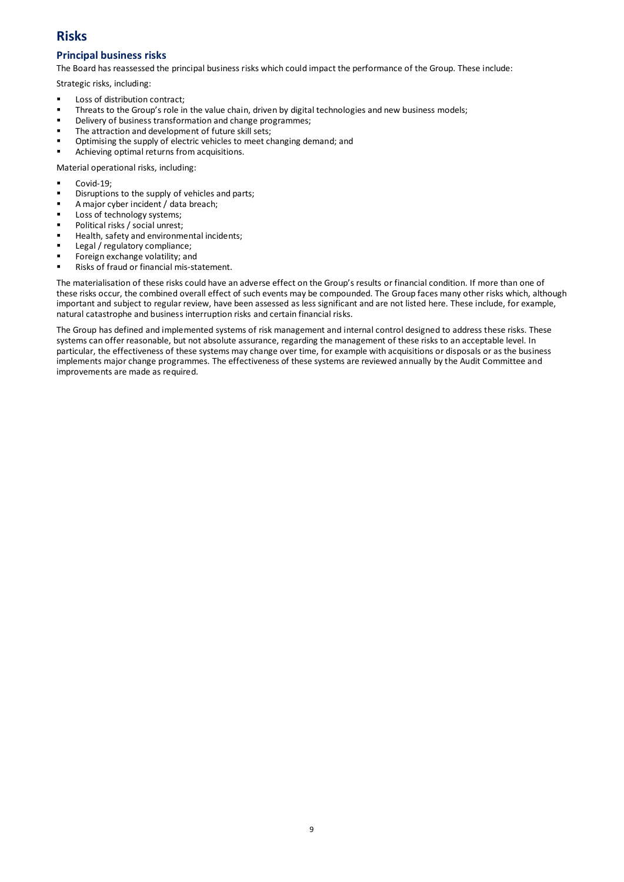# **Risks**

## **Principal business risks**

The Board has reassessed the principal business risks which could impact the performance of the Group. These include:

Strategic risks, including:

- Loss of distribution contract;
- Threats to the Group's role in the value chain, driven by digital technologies and new business models;
- Delivery of business transformation and change programmes;
- The attraction and development of future skill sets;
- Optimising the supply of electric vehicles to meet changing demand; and
- Achieving optimal returns from acquisitions.

Material operational risks, including:

- Covid-19;
- Disruptions to the supply of vehicles and parts;
- A major cyber incident / data breach;
- Loss of technology systems;
- Political risks / social unrest;
- Health, safety and environmental incidents;
- Legal / regulatory compliance;
- Foreign exchange volatility; and
- Risks of fraud or financial mis-statement.

The materialisation of these risks could have an adverse effect on the Group's results or financial condition. If more than one of these risks occur, the combined overall effect of such events may be compounded. The Group faces many other risks which, although important and subject to regular review, have been assessed as less significant and are not listed here. These include, for example, natural catastrophe and business interruption risks and certain financial risks.

The Group has defined and implemented systems of risk management and internal control designed to address these risks. These systems can offer reasonable, but not absolute assurance, regarding the management of these risks to an acceptable level. In particular, the effectiveness of these systems may change over time, for example with acquisitions or disposals or as the business implements major change programmes. The effectiveness of these systems are reviewed annually by the Audit Committee and improvements are made as required.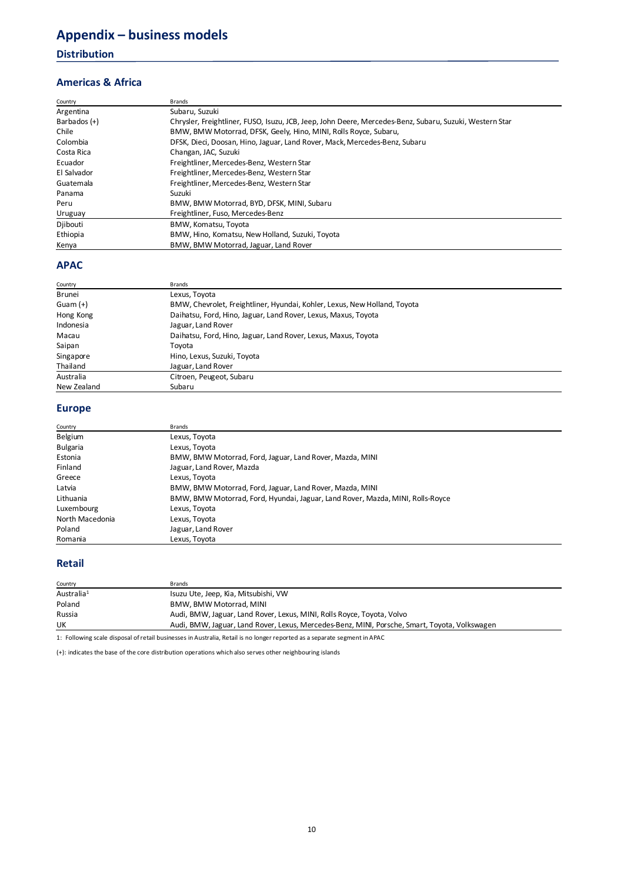# **Appendix – business models**

## **Distribution**

## **Americas & Africa**

| Country      | Brands                                                                                                  |
|--------------|---------------------------------------------------------------------------------------------------------|
| Argentina    | Subaru, Suzuki                                                                                          |
| Barbados (+) | Chrysler, Freightliner, FUSO, Isuzu, JCB, Jeep, John Deere, Mercedes-Benz, Subaru, Suzuki, Western Star |
| Chile        | BMW, BMW Motorrad, DFSK, Geely, Hino, MINI, Rolls Royce, Subaru,                                        |
| Colombia     | DFSK, Dieci, Doosan, Hino, Jaguar, Land Rover, Mack, Mercedes-Benz, Subaru                              |
| Costa Rica   | Changan, JAC, Suzuki                                                                                    |
| Ecuador      | Freightliner, Mercedes-Benz, Western Star                                                               |
| El Salvador  | Freightliner, Mercedes-Benz, Western Star                                                               |
| Guatemala    | Freightliner, Mercedes-Benz, Western Star                                                               |
| Panama       | Suzuki                                                                                                  |
| Peru         | BMW, BMW Motorrad, BYD, DFSK, MINI, Subaru                                                              |
| Uruguay      | Freightliner, Fuso, Mercedes-Benz                                                                       |
| Djibouti     | BMW, Komatsu, Toyota                                                                                    |
| Ethiopia     | BMW, Hino, Komatsu, New Holland, Suzuki, Toyota                                                         |
| Kenya        | BMW, BMW Motorrad, Jaguar, Land Rover                                                                   |

## **APAC**

| Country     | <b>Brands</b>                                                             |  |
|-------------|---------------------------------------------------------------------------|--|
| Brunei      | Lexus, Toyota                                                             |  |
| Guam $(+)$  | BMW, Chevrolet, Freightliner, Hyundai, Kohler, Lexus, New Holland, Toyota |  |
| Hong Kong   | Daihatsu, Ford, Hino, Jaguar, Land Rover, Lexus, Maxus, Toyota            |  |
| Indonesia   | Jaguar, Land Rover                                                        |  |
| Macau       | Daihatsu, Ford, Hino, Jaguar, Land Rover, Lexus, Maxus, Toyota            |  |
| Saipan      | Tovota                                                                    |  |
| Singapore   | Hino, Lexus, Suzuki, Toyota                                               |  |
| Thailand    | Jaguar, Land Rover                                                        |  |
| Australia   | Citroen, Peugeot, Subaru                                                  |  |
| New Zealand | Subaru                                                                    |  |

# **Europe**

| Country         | <b>Brands</b>                                                                  |
|-----------------|--------------------------------------------------------------------------------|
| Belgium         | Lexus, Toyota                                                                  |
| <b>Bulgaria</b> | Lexus, Toyota                                                                  |
| Estonia         | BMW, BMW Motorrad, Ford, Jaguar, Land Rover, Mazda, MINI                       |
| Finland         | Jaguar, Land Rover, Mazda                                                      |
| Greece          | Lexus, Toyota                                                                  |
| Latvia          | BMW, BMW Motorrad, Ford, Jaguar, Land Rover, Mazda, MINI                       |
| Lithuania       | BMW, BMW Motorrad, Ford, Hyundai, Jaguar, Land Rover, Mazda, MINI, Rolls-Royce |
| Luxembourg      | Lexus, Toyota                                                                  |
| North Macedonia | Lexus, Toyota                                                                  |
| Poland          | Jaguar, Land Rover                                                             |
| Romania         | Lexus, Toyota                                                                  |

## **Retail**

| Country                                                                                                                   | <b>Brands</b>                                                                                 |  |  |  |  |
|---------------------------------------------------------------------------------------------------------------------------|-----------------------------------------------------------------------------------------------|--|--|--|--|
| Australia <sup>1</sup>                                                                                                    | Isuzu Ute, Jeep, Kia, Mitsubishi, VW                                                          |  |  |  |  |
| Poland                                                                                                                    | <b>BMW. BMW Motorrad. MINI</b>                                                                |  |  |  |  |
| Russia                                                                                                                    | Audi, BMW, Jaguar, Land Rover, Lexus, MINI, Rolls Royce, Toyota, Volvo                        |  |  |  |  |
| UK                                                                                                                        | Audi, BMW, Jaguar, Land Rover, Lexus, Mercedes-Benz, MINI, Porsche, Smart, Toyota, Volkswagen |  |  |  |  |
| 1: Following scale disposal of retail businesses in Australia, Retail is no longer reported as a separate segment in APAC |                                                                                               |  |  |  |  |

(+): indicates the base of the core distribution operations which also serves other neighbouring islands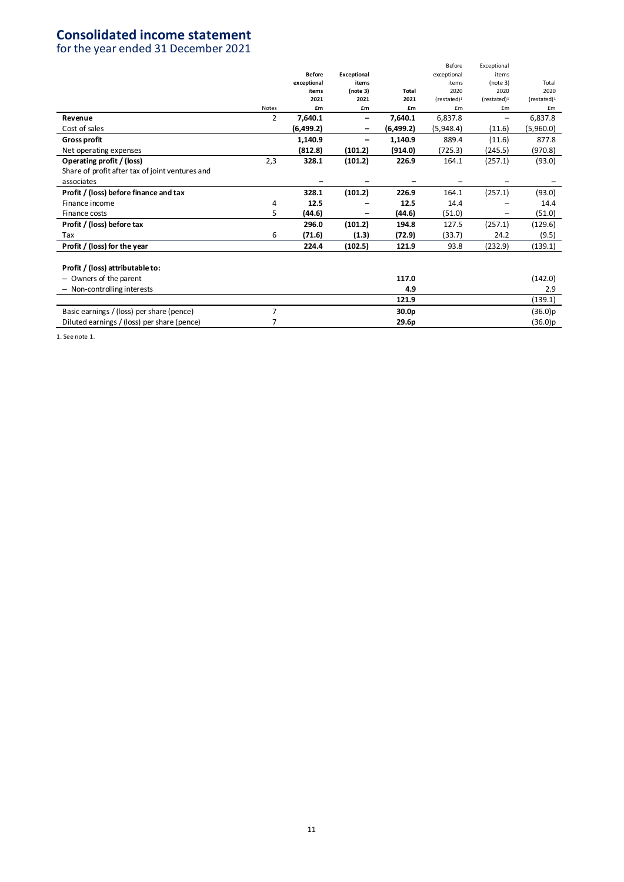# **Consolidated income statement**

for the year ended 31 December 2021

|                                                 |                |               |             |            | Before                | Exceptional           |                       |
|-------------------------------------------------|----------------|---------------|-------------|------------|-----------------------|-----------------------|-----------------------|
|                                                 |                | <b>Before</b> | Exceptional |            | exceptional           | items                 |                       |
|                                                 |                | exceptional   | items       |            | items                 | (note 3)              | Total                 |
|                                                 |                | items         | (note 3)    | Total      | 2020                  | 2020                  | 2020                  |
|                                                 |                | 2021          | 2021        | 2021       | (rested) <sup>1</sup> | (rested) <sup>1</sup> | (rested) <sup>1</sup> |
|                                                 | <b>Notes</b>   | £m            | £m          | £m         | £m                    | £m                    | £m                    |
| Revenue                                         | $\overline{2}$ | 7,640.1       | -           | 7,640.1    | 6,837.8               | -                     | 6,837.8               |
| Cost of sales                                   |                | (6,499.2)     | -           | (6, 499.2) | (5,948.4)             | (11.6)                | (5,960.0)             |
| <b>Gross profit</b>                             |                | 1,140.9       |             | 1,140.9    | 889.4                 | (11.6)                | 877.8                 |
| Net operating expenses                          |                | (812.8)       | (101.2)     | (914.0)    | (725.3)               | (245.5)               | (970.8)               |
| Operating profit / (loss)                       | 2,3            | 328.1         | (101.2)     | 226.9      | 164.1                 | (257.1)               | (93.0)                |
| Share of profit after tax of joint ventures and |                |               |             |            |                       |                       |                       |
| associates                                      |                |               |             |            |                       |                       |                       |
| Profit / (loss) before finance and tax          |                | 328.1         | (101.2)     | 226.9      | 164.1                 | (257.1)               | (93.0)                |
| Finance income                                  | 4              | 12.5          |             | 12.5       | 14.4                  |                       | 14.4                  |
| Finance costs                                   | 5              | (44.6)        |             | (44.6)     | (51.0)                |                       | (51.0)                |
| Profit / (loss) before tax                      |                | 296.0         | (101.2)     | 194.8      | 127.5                 | (257.1)               | (129.6)               |
| Tax                                             | 6              | (71.6)        | (1.3)       | (72.9)     | (33.7)                | 24.2                  | (9.5)                 |
| Profit / (loss) for the year                    |                | 224.4         | (102.5)     | 121.9      | 93.8                  | (232.9)               | (139.1)               |
|                                                 |                |               |             |            |                       |                       |                       |
| Profit / (loss) attributable to:                |                |               |             |            |                       |                       |                       |
| - Owners of the parent                          |                |               |             | 117.0      |                       |                       | (142.0)               |
| - Non-controlling interests                     |                |               |             | 4.9        |                       |                       | 2.9                   |
|                                                 |                |               |             | 121.9      |                       |                       | (139.1)               |
| Basic earnings / (loss) per share (pence)       | 7              |               |             | 30.0p      |                       |                       | (36.0)p               |
| Diluted earnings / (loss) per share (pence)     |                |               |             | 29.6p      |                       |                       | (36.0)p               |
|                                                 |                |               |             |            |                       |                       |                       |

1. See note 1.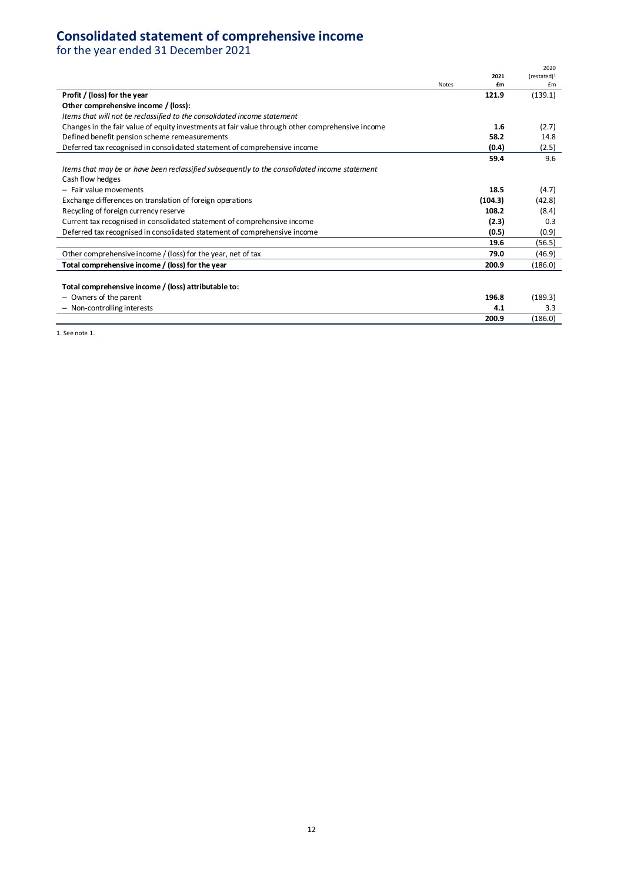# **Consolidated statement of comprehensive income**

for the year ended 31 December 2021

|                                                                                                  |              |         | 2020                  |
|--------------------------------------------------------------------------------------------------|--------------|---------|-----------------------|
|                                                                                                  |              | 2021    | (rested) <sup>1</sup> |
|                                                                                                  | <b>Notes</b> | £m      | £m                    |
| Profit / (loss) for the year                                                                     |              | 121.9   | (139.1)               |
| Other comprehensive income / (loss):                                                             |              |         |                       |
| Items that will not be reclassified to the consolidated income statement                         |              |         |                       |
| Changes in the fair value of equity investments at fair value through other comprehensive income |              | 1.6     | (2.7)                 |
| Defined benefit pension scheme remeasurements                                                    |              | 58.2    | 14.8                  |
| Deferred tax recognised in consolidated statement of comprehensive income                        |              | (0.4)   | (2.5)                 |
|                                                                                                  |              | 59.4    | 9.6                   |
| Items that may be or have been reclassified subsequently to the consolidated income statement    |              |         |                       |
| Cash flow hedges                                                                                 |              |         |                       |
| - Fair value movements                                                                           |              | 18.5    | (4.7)                 |
| Exchange differences on translation of foreign operations                                        |              | (104.3) | (42.8)                |
| Recycling of foreign currency reserve                                                            |              | 108.2   | (8.4)                 |
| Current tax recognised in consolidated statement of comprehensive income                         |              | (2.3)   | 0.3                   |
| Deferred tax recognised in consolidated statement of comprehensive income                        |              | (0.5)   | (0.9)                 |
|                                                                                                  |              | 19.6    | (56.5)                |
| Other comprehensive income / (loss) for the year, net of tax                                     |              | 79.0    | (46.9)                |
| Total comprehensive income / (loss) for the year                                                 |              | 200.9   | (186.0)               |
|                                                                                                  |              |         |                       |
| Total comprehensive income / (loss) attributable to:                                             |              |         |                       |
| - Owners of the parent                                                                           |              | 196.8   | (189.3)               |
| - Non-controlling interests                                                                      |              | 4.1     | 3.3                   |
|                                                                                                  |              | 200.9   | (186.0)               |

1. See note 1.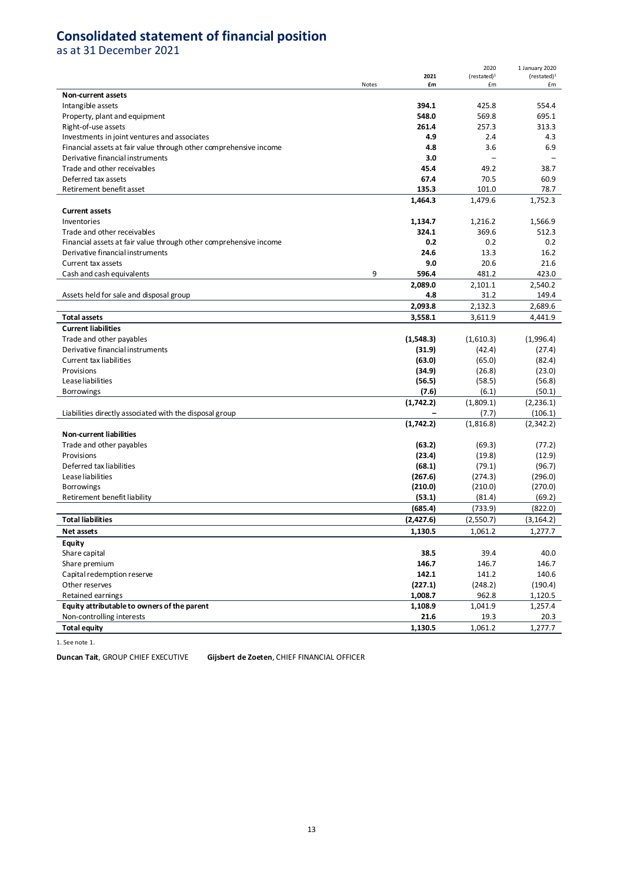# **Consolidated statement of financial position**

as at 31 December 2021

|                                                                   |       |            | 2020                        | 1 January 2020        |
|-------------------------------------------------------------------|-------|------------|-----------------------------|-----------------------|
|                                                                   | Notes | 2021<br>£m | (rested) <sup>1</sup><br>£m | (rested) <sup>1</sup> |
| Non-current assets                                                |       |            |                             | £m                    |
| Intangible assets                                                 |       | 394.1      | 425.8                       | 554.4                 |
| Property, plant and equipment                                     |       | 548.0      | 569.8                       | 695.1                 |
| Right-of-use assets                                               |       | 261.4      | 257.3                       | 313.3                 |
| Investments in joint ventures and associates                      |       | 4.9        | 2.4                         | 4.3                   |
| Financial assets at fair value through other comprehensive income |       | 4.8        | 3.6                         | 6.9                   |
| Derivative financial instruments                                  |       | 3.0        |                             |                       |
| Trade and other receivables                                       |       | 45.4       | 49.2                        | 38.7                  |
| Deferred tax assets                                               |       | 67.4       | 70.5                        | 60.9                  |
| Retirement benefit asset                                          |       | 135.3      | 101.0                       | 78.7                  |
|                                                                   |       | 1,464.3    | 1,479.6                     | 1,752.3               |
| <b>Current assets</b>                                             |       |            |                             |                       |
| Inventories                                                       |       | 1,134.7    | 1,216.2                     | 1,566.9               |
| Trade and other receivables                                       |       | 324.1      | 369.6                       | 512.3                 |
| Financial assets at fair value through other comprehensive income |       | 0.2        | 0.2                         | 0.2                   |
| Derivative financial instruments                                  |       | 24.6       | 13.3                        | 16.2                  |
| Current tax assets                                                |       | 9.0        | 20.6                        | 21.6                  |
| Cash and cash equivalents                                         | 9     | 596.4      | 481.2                       | 423.0                 |
|                                                                   |       | 2,089.0    | 2,101.1                     | 2,540.2               |
| Assets held for sale and disposal group                           |       | 4.8        | 31.2                        | 149.4                 |
|                                                                   |       | 2,093.8    | 2,132.3                     | 2,689.6               |
| <b>Total assets</b>                                               |       | 3,558.1    | 3,611.9                     | 4,441.9               |
| <b>Current liabilities</b>                                        |       |            |                             |                       |
| Trade and other payables                                          |       | (1, 548.3) | (1,610.3)                   | (1,996.4)             |
| Derivative financial instruments                                  |       | (31.9)     | (42.4)                      | (27.4)                |
| <b>Current tax liabilities</b>                                    |       | (63.0)     | (65.0)                      | (82.4)                |
| Provisions                                                        |       | (34.9)     | (26.8)                      | (23.0)                |
| Lease liabilities                                                 |       | (56.5)     | (58.5)                      | (56.8)                |
| <b>Borrowings</b>                                                 |       | (7.6)      | (6.1)                       | (50.1)                |
|                                                                   |       | (1,742.2)  | (1,809.1)                   | (2, 236.1)            |
| Liabilities directly associated with the disposal group           |       |            | (7.7)                       | (106.1)               |
|                                                                   |       | (1,742.2)  | (1,816.8)                   | (2, 342.2)            |
| <b>Non-current liabilities</b>                                    |       |            |                             |                       |
| Trade and other payables                                          |       | (63.2)     | (69.3)                      | (77.2)                |
| Provisions                                                        |       | (23.4)     | (19.8)                      | (12.9)                |
| Deferred tax liabilities                                          |       | (68.1)     | (79.1)                      | (96.7)                |
| Lease liabilities                                                 |       | (267.6)    | (274.3)                     | (296.0)               |
| <b>Borrowings</b>                                                 |       | (210.0)    | (210.0)                     | (270.0)               |
| Retirement benefit liability                                      |       | (53.1)     | (81.4)                      | (69.2)                |
|                                                                   |       | (685.4)    | (733.9)                     | (822.0)               |
| <b>Total liabilities</b>                                          |       | (2,427.6)  | (2,550.7)                   | (3, 164.2)            |
| Net assets                                                        |       | 1,130.5    | 1,061.2                     | 1.277.7               |
| <b>Equity</b>                                                     |       |            |                             |                       |
| Share capital                                                     |       | 38.5       | 39.4                        | 40.0                  |
| Share premium                                                     |       | 146.7      | 146.7                       | 146.7                 |
| Capital redemption reserve                                        |       | 142.1      | 141.2                       | 140.6                 |
| Other reserves                                                    |       | (227.1)    | (248.2)                     | (190.4)               |
| Retained earnings                                                 |       | 1,008.7    | 962.8                       | 1,120.5               |
| Equity attributable to owners of the parent                       |       | 1,108.9    | 1,041.9                     | 1,257.4               |
| Non-controlling interests                                         |       | 21.6       | 19.3                        | 20.3                  |
| <b>Total equity</b>                                               |       | 1,130.5    | 1,061.2                     | 1,277.7               |

1. See note 1.

**Duncan Tait**, GROUP CHIEF EXECUTIVE **Gijsbert de Zoeten**, CHIEF FINANCIAL OFFICER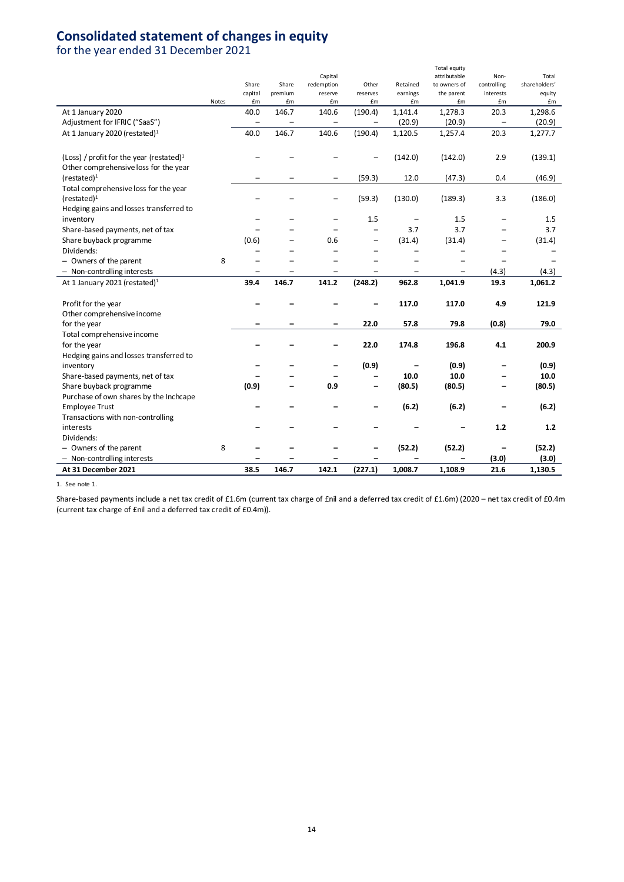# **Consolidated statement of changes in equity**

for the year ended 31 December 2021

|                                             |       |                   |         |                          |                          |                          | Total equity                 |                          | Total         |
|---------------------------------------------|-------|-------------------|---------|--------------------------|--------------------------|--------------------------|------------------------------|--------------------------|---------------|
|                                             |       | Share             | Share   | Capital<br>redemption    | Other                    | Retained                 | attributable<br>to owners of | Non-<br>controlling      | shareholders' |
|                                             |       | capital           | premium | reserve                  | reserves                 | earnings                 | the parent                   | interests                | equity        |
|                                             | Notes | £m                | £m      | £m                       | £m                       | £m                       | £m                           | £m                       | £m            |
| At 1 January 2020                           |       | 40.0              | 146.7   | 140.6                    | (190.4)                  | 1,141.4                  | 1,278.3                      | 20.3                     | 1,298.6       |
| Adjustment for IFRIC ("SaaS")               |       | $\qquad \qquad -$ |         | $\qquad \qquad -$        | $\qquad \qquad -$        | (20.9)                   | (20.9)                       | -                        | (20.9)        |
| At 1 January 2020 (restated) <sup>1</sup>   |       | 40.0              | 146.7   | 140.6                    | (190.4)                  | 1,120.5                  | 1,257.4                      | 20.3                     | 1,277.7       |
| (Loss) / profit for the year (restated) $1$ |       |                   |         |                          |                          | (142.0)                  | (142.0)                      | 2.9                      | (139.1)       |
| Other comprehensive loss for the year       |       |                   |         |                          |                          |                          |                              |                          |               |
| $(re stated)^1$                             |       |                   |         | $\qquad \qquad -$        | (59.3)                   | 12.0                     | (47.3)                       | 0.4                      | (46.9)        |
| Total comprehensive loss for the year       |       |                   |         |                          |                          |                          |                              |                          |               |
| $(rested)^1$                                |       |                   |         |                          | (59.3)                   | (130.0)                  | (189.3)                      | 3.3                      | (186.0)       |
| Hedging gains and losses transferred to     |       |                   |         |                          |                          |                          |                              |                          |               |
| inventory                                   |       |                   |         | $\overline{\phantom{0}}$ | 1.5                      |                          | 1.5                          |                          | 1.5           |
| Share-based payments, net of tax            |       |                   |         |                          | $\overline{a}$           | 3.7                      | 3.7                          |                          | 3.7           |
| Share buyback programme                     |       | (0.6)             |         | 0.6                      | $\overline{\phantom{0}}$ | (31.4)                   | (31.4)                       |                          | (31.4)        |
| Dividends:                                  |       |                   |         |                          |                          |                          |                              |                          |               |
| - Owners of the parent                      | 8     |                   |         |                          |                          |                          |                              |                          |               |
| - Non-controlling interests                 |       |                   |         |                          |                          | $\overline{\phantom{0}}$ | -                            | (4.3)                    | (4.3)         |
| At 1 January 2021 (restated) <sup>1</sup>   |       | 39.4              | 146.7   | 141.2                    | (248.2)                  | 962.8                    | 1,041.9                      | 19.3                     | 1,061.2       |
|                                             |       |                   |         |                          |                          |                          |                              |                          |               |
| Profit for the year                         |       |                   |         |                          |                          | 117.0                    | 117.0                        | 4.9                      | 121.9         |
| Other comprehensive income                  |       |                   |         |                          |                          |                          |                              |                          |               |
| for the year                                |       |                   |         |                          | 22.0                     | 57.8                     | 79.8                         | (0.8)                    | 79.0          |
| Total comprehensive income                  |       |                   |         |                          |                          |                          |                              |                          |               |
| for the year                                |       |                   |         |                          | 22.0                     | 174.8                    | 196.8                        | 4.1                      | 200.9         |
| Hedging gains and losses transferred to     |       |                   |         |                          |                          |                          |                              |                          |               |
| inventory                                   |       |                   |         |                          | (0.9)                    |                          | (0.9)                        |                          | (0.9)         |
| Share-based payments, net of tax            |       |                   |         |                          | $\overline{\phantom{0}}$ | 10.0                     | 10.0                         |                          | 10.0          |
| Share buyback programme                     |       | (0.9)             |         | 0.9                      | $\overline{\phantom{0}}$ | (80.5)                   | (80.5)                       | $\overline{\phantom{0}}$ | (80.5)        |
| Purchase of own shares by the Inchcape      |       |                   |         |                          |                          |                          |                              |                          |               |
| <b>Employee Trust</b>                       |       |                   |         |                          |                          | (6.2)                    | (6.2)                        |                          | (6.2)         |
| Transactions with non-controlling           |       |                   |         |                          |                          |                          |                              |                          |               |
| interests                                   |       |                   |         |                          |                          |                          |                              | $1.2$                    | 1.2           |
| Dividends:                                  |       |                   |         |                          |                          |                          |                              |                          |               |
| - Owners of the parent                      | 8     |                   |         |                          |                          | (52.2)                   | (52.2)                       | -                        | (52.2)        |
| - Non-controlling interests                 |       |                   |         |                          |                          |                          |                              | (3.0)                    | (3.0)         |
| At 31 December 2021                         |       | 38.5              | 146.7   | 142.1                    | (227.1)                  | 1,008.7                  | 1,108.9                      | 21.6                     | 1,130.5       |

1. See note 1.

Share-based payments include a net tax credit of £1.6m (current tax charge of £nil and a deferred tax credit of £1.6m) (2020 – net tax credit of £0.4m (current tax charge of £nil and a deferred tax credit of £0.4m)).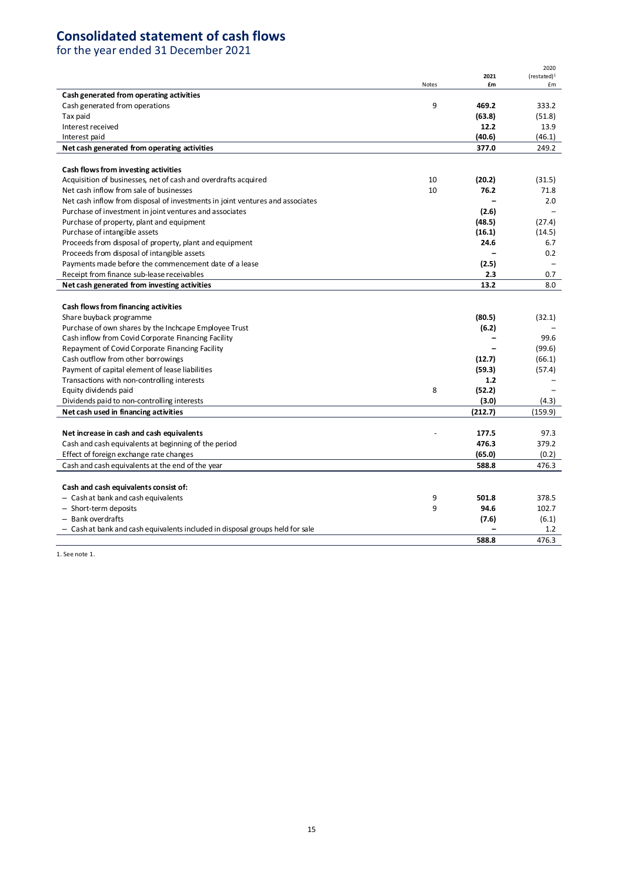# **Consolidated statement of cash flows**

for the year ended 31 December 2021

|                                                                               |              | 2021    | 2020<br>(rested) <sup>1</sup> |
|-------------------------------------------------------------------------------|--------------|---------|-------------------------------|
|                                                                               | <b>Notes</b> | £m      | £m                            |
| Cash generated from operating activities                                      |              |         |                               |
| Cash generated from operations                                                | 9            | 469.2   | 333.2                         |
| Tax paid                                                                      |              | (63.8)  | (51.8)                        |
| Interest received                                                             |              | 12.2    | 13.9                          |
| Interest paid                                                                 |              | (40.6)  | (46.1)                        |
| Net cash generated from operating activities                                  |              | 377.0   | 249.2                         |
|                                                                               |              |         |                               |
| Cash flows from investing activities                                          |              |         |                               |
| Acquisition of businesses, net of cash and overdrafts acquired                | 10           | (20.2)  | (31.5)                        |
| Net cash inflow from sale of businesses                                       | 10           | 76.2    | 71.8                          |
| Net cash inflow from disposal of investments in joint ventures and associates |              |         | 2.0                           |
| Purchase of investment in joint ventures and associates                       |              | (2.6)   |                               |
| Purchase of property, plant and equipment                                     |              | (48.5)  | (27.4)                        |
| Purchase of intangible assets                                                 |              | (16.1)  | (14.5)                        |
| Proceeds from disposal of property, plant and equipment                       |              | 24.6    | 6.7                           |
| Proceeds from disposal of intangible assets                                   |              |         | 0.2                           |
| Payments made before the commencement date of a lease                         |              | (2.5)   |                               |
| Receipt from finance sub-lease receivables                                    |              | 2.3     | 0.7                           |
| Net cash generated from investing activities                                  |              | 13.2    | 8.0                           |
|                                                                               |              |         |                               |
| Cash flows from financing activities                                          |              |         |                               |
| Share buyback programme                                                       |              | (80.5)  | (32.1)                        |
| Purchase of own shares by the Inchcape Employee Trust                         |              | (6.2)   |                               |
| Cash inflow from Covid Corporate Financing Facility                           |              |         | 99.6                          |
| Repayment of Covid Corporate Financing Facility                               |              |         | (99.6)                        |
| Cash outflow from other borrowings                                            |              | (12.7)  | (66.1)                        |
| Payment of capital element of lease liabilities                               |              | (59.3)  | (57.4)                        |
| Transactions with non-controlling interests                                   |              | 1.2     |                               |
| Equity dividends paid                                                         | 8            | (52.2)  |                               |
| Dividends paid to non-controlling interests                                   |              | (3.0)   | (4.3)                         |
| Net cash used in financing activities                                         |              | (212.7) | (159.9)                       |
|                                                                               |              |         |                               |
| Net increase in cash and cash equivalents                                     |              | 177.5   | 97.3                          |
| Cash and cash equivalents at beginning of the period                          |              | 476.3   | 379.2                         |
| Effect of foreign exchange rate changes                                       |              | (65.0)  | (0.2)                         |
| Cash and cash equivalents at the end of the year                              |              | 588.8   | 476.3                         |
|                                                                               |              |         |                               |
| Cash and cash equivalents consist of:                                         |              |         |                               |
| - Cashat bank and cash equivalents                                            | 9            | 501.8   | 378.5                         |
| - Short-term deposits                                                         | 9            | 94.6    | 102.7                         |
| - Bank overdrafts                                                             |              | (7.6)   | (6.1)                         |
| - Cashat bank and cash equivalents included in disposal groups held for sale  |              |         | 1.2                           |
|                                                                               |              | 588.8   | 476.3                         |

1. See note 1.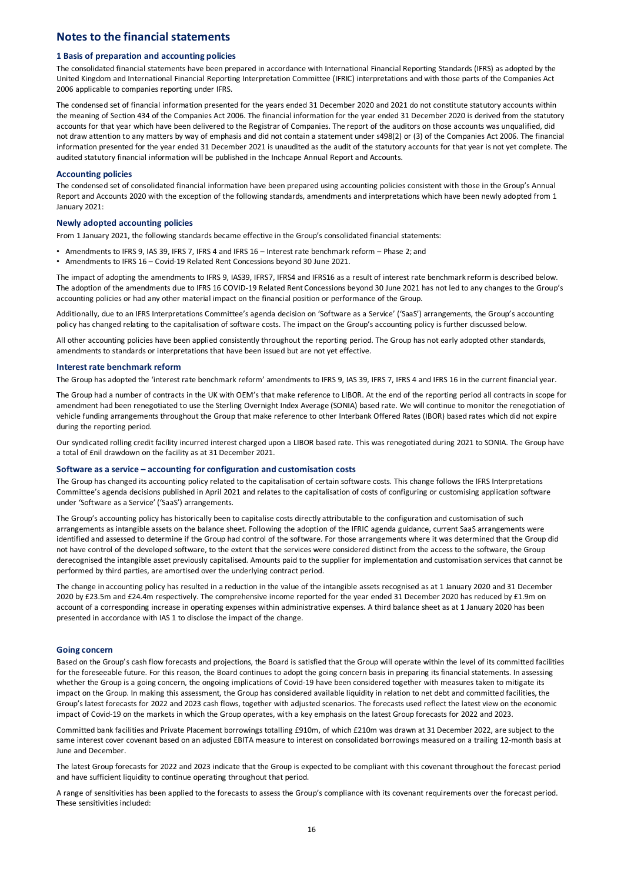## **Notes to the financial statements**

#### **1 Basis of preparation and accounting policies**

The consolidated financial statements have been prepared in accordance with International Financial Reporting Standards (IFRS) as adopted by the United Kingdom and International Financial Reporting Interpretation Committee (IFRIC) interpretations and with those parts of the Companies Act 2006 applicable to companies reporting under IFRS.

The condensed set of financial information presented for the years ended 31 December 2020 and 2021 do not constitute statutory accounts within the meaning of Section 434 of the Companies Act 2006. The financial information for the year ended 31 December 2020 is derived from the statutory accounts for that year which have been delivered to the Registrar of Companies. The report of the auditors on those accounts was unqualified, did not draw attention to any matters by way of emphasis and did not contain a statement under s498(2) or (3) of the Companies Act 2006. The financial information presented for the year ended 31 December 2021 is unaudited as the audit of the statutory accounts for that year is not yet complete. The audited statutory financial information will be published in the Inchcape Annual Report and Accounts.

### **Accounting policies**

The condensed set of consolidated financial information have been prepared using accounting policies consistent with those in the Group's Annual Report and Accounts 2020 with the exception of the following standards, amendments and interpretations which have been newly adopted from 1 January 2021:

### **Newly adopted accounting policies**

From 1 January 2021, the following standards became effective in the Group's consolidated financial statements:

- Amendments to IFRS 9, IAS 39, IFRS 7, IFRS 4 and IFRS 16 Interest rate benchmark reform Phase 2; and
- Amendments to IFRS 16 Covid-19 Related Rent Concessions beyond 30 June 2021.

The impact of adopting the amendments to IFRS 9, IAS39, IFRS7, IFRS4 and IFRS16 as a result of interest rate benchmark reform is described below. The adoption of the amendments due to IFRS 16 COVID-19 Related Rent Concessions beyond 30 June 2021 has not led to any changes to the Group's accounting policies or had any other material impact on the financial position or performance of the Group.

Additionally, due to an IFRS Interpretations Committee's agenda decision on 'Software as a Service' ('SaaS') arrangements, the Group's accounting policy has changed relating to the capitalisation of software costs. The impact on the Group's accounting policy is further discussed below.

All other accounting policies have been applied consistently throughout the reporting period. The Group has not early adopted other standards, amendments to standards or interpretations that have been issued but are not yet effective.

### **Interest rate benchmark reform**

The Group has adopted the 'interest rate benchmark reform' amendments to IFRS 9, IAS 39, IFRS 7, IFRS 4 and IFRS 16 in the current financial year.

The Group had a number of contracts in the UK with OEM's that make reference to LIBOR. At the end of the reporting period all contracts in scope for amendment had been renegotiated to use the Sterling Overnight Index Average (SONIA) based rate. We will continue to monitor the renegotiation of vehicle funding arrangements throughout the Group that make reference to other Interbank Offered Rates (IBOR) based rates which did not expire during the reporting period.

Our syndicated rolling credit facility incurred interest charged upon a LIBOR based rate. This was renegotiated during 2021 to SONIA. The Group have a total of £nil drawdown on the facility as at 31 December 2021.

## **Software as a service – accounting for configuration and customisation costs**

The Group has changed its accounting policy related to the capitalisation of certain software costs. This change follows the IFRS Interpretations Committee's agenda decisions published in April 2021 and relates to the capitalisation of costs of configuring or customising application software under 'Software as a Service' ('SaaS') arrangements.

The Group's accounting policy has historically been to capitalise costs directly attributable to the configuration and customisation of such arrangements as intangible assets on the balance sheet. Following the adoption of the IFRIC agenda guidance, current SaaS arrangements were identified and assessed to determine if the Group had control of the software. For those arrangements where it was determined that the Group did not have control of the developed software, to the extent that the services were considered distinct from the access to the software, the Group derecognised the intangible asset previously capitalised. Amounts paid to the supplier for implementation and customisation services that cannot be performed by third parties, are amortised over the underlying contract period.

The change in accounting policy has resulted in a reduction in the value of the intangible assets recognised as at 1 January 2020 and 31 December 2020 by £23.5m and £24.4m respectively. The comprehensive income reported for the year ended 31 December 2020 has reduced by £1.9m on account of a corresponding increase in operating expenses within administrative expenses. A third balance sheet as at 1 January 2020 has been presented in accordance with IAS 1 to disclose the impact of the change.

## **Going concern**

Based on the Group's cash flow forecasts and projections, the Board is satisfied that the Group will operate within the level of its committed facilities for the foreseeable future. For this reason, the Board continues to adopt the going concern basis in preparing its financial statements. In assessing whether the Group is a going concern, the ongoing implications of Covid-19 have been considered together with measures taken to mitigate its impact on the Group. In making this assessment, the Group has considered available liquidity in relation to net debt and committed facilities, the Group's latest forecasts for 2022 and 2023 cash flows, together with adjusted scenarios. The forecasts used reflect the latest view on the economic impact of Covid-19 on the markets in which the Group operates, with a key emphasis on the latest Group forecasts for 2022 and 2023.

Committed bank facilities and Private Placement borrowings totalling £910m, of which £210m was drawn at 31 December 2022, are subject to the same interest cover covenant based on an adjusted EBITA measure to interest on consolidated borrowings measured on a trailing 12-month basis at June and December.

The latest Group forecasts for 2022 and 2023 indicate that the Group is expected to be compliant with this covenant throughout the forecast period and have sufficient liquidity to continue operating throughout that period.

A range of sensitivities has been applied to the forecasts to assess the Group's compliance with its covenant requirements over the forecast period. These sensitivities included: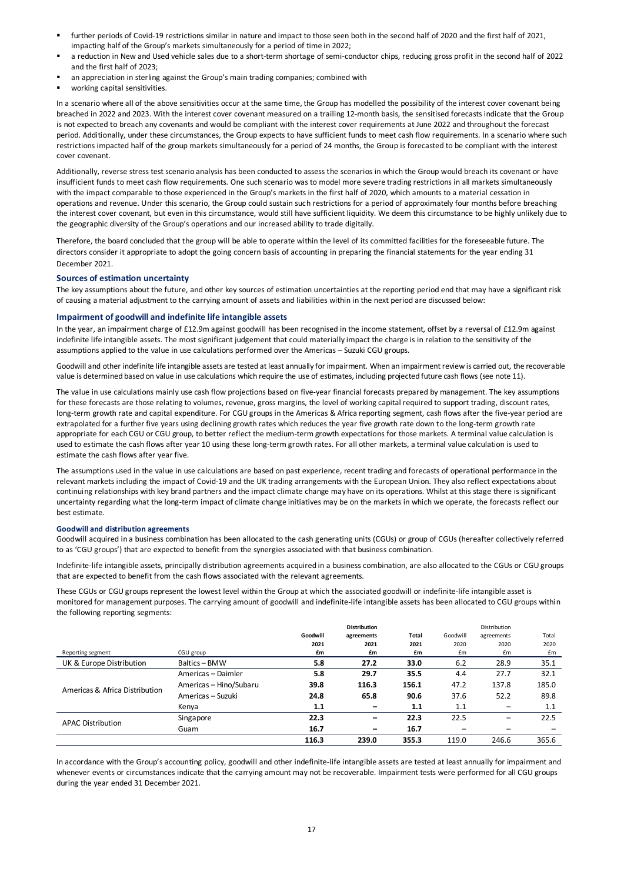- further periods of Covid-19 restrictions similar in nature and impact to those seen both in the second half of 2020 and the first half of 2021, impacting half of the Group's markets simultaneously for a period of time in 2022;
- a reduction in New and Used vehicle sales due to a short-term shortage of semi-conductor chips, reducing gross profit in the second half of 2022 and the first half of 2023;
- an appreciation in sterling against the Group's main trading companies; combined with
- **•** working capital sensitivities.

In a scenario where all of the above sensitivities occur at the same time, the Group has modelled the possibility of the interest cover covenant being breached in 2022 and 2023. With the interest cover covenant measured on a trailing 12-month basis, the sensitised forecasts indicate that the Group is not expected to breach any covenants and would be compliant with the interest cover requirements at June 2022 and throughout the forecast period. Additionally, under these circumstances, the Group expects to have sufficient funds to meet cash flow requirements. In a scenario where such restrictions impacted half of the group markets simultaneously for a period of 24 months, the Group is forecasted to be compliant with the interest cover covenant.

Additionally, reverse stress test scenario analysis has been conducted to assess the scenarios in which the Group would breach its covenant or have insufficient funds to meet cash flow requirements. One such scenario was to model more severe trading restrictions in all markets simultaneously with the impact comparable to those experienced in the Group's markets in the first half of 2020, which amounts to a material cessation in operations and revenue. Under this scenario, the Group could sustain such restrictions for a period of approximately four months before breaching the interest cover covenant, but even in this circumstance, would still have sufficient liquidity. We deem this circumstance to be highly unlikely due to the geographic diversity of the Group's operations and our increased ability to trade digitally.

Therefore, the board concluded that the group will be able to operate within the level of its committed facilities for the foreseeable future. The directors consider it appropriate to adopt the going concern basis of accounting in preparing the financial statements for the year ending 31 December 2021.

#### **Sources of estimation uncertainty**

The key assumptions about the future, and other key sources of estimation uncertainties at the reporting period end that may have a significant risk of causing a material adjustment to the carrying amount of assets and liabilities within in the next period are discussed below:

#### **Impairment of goodwill and indefinite life intangible assets**

In the year, an impairment charge of £12.9m against goodwill has been recognised in the income statement, offset by a reversal of £12.9m against indefinite life intangible assets. The most significant judgement that could materially impact the charge is in relation to the sensitivity of the assumptions applied to the value in use calculations performed over the Americas – Suzuki CGU groups.

Goodwill and other indefinite life intangible assets are tested at least annually for impairment. When an impairment review is carried out, the recoverable value is determined based on value in use calculations which require the use of estimates, including projected future cash flows (see note 11).

The value in use calculations mainly use cash flow projections based on five-year financial forecasts prepared by management. The key assumptions for these forecasts are those relating to volumes, revenue, gross margins, the level of working capital required to support trading, discount rates, long-term growth rate and capital expenditure. For CGU groups in the Americas & Africa reporting segment, cash flows after the five-year period are extrapolated for a further five years using declining growth rates which reduces the year five growth rate down to the long-term growth rate appropriate for each CGU or CGU group, to better reflect the medium-term growth expectations for those markets. A terminal value calculation is used to estimate the cash flows after year 10 using these long-term growth rates. For all other markets, a terminal value calculation is used to estimate the cash flows after year five.

The assumptions used in the value in use calculations are based on past experience, recent trading and forecasts of operational performance in the relevant markets including the impact of Covid-19 and the UK trading arrangements with the European Union. They also reflect expectations about continuing relationships with key brand partners and the impact climate change may have on its operations. Whilst at this stage there is significant uncertainty regarding what the long-term impact of climate change initiatives may be on the markets in which we operate, the forecasts reflect our best estimate.

#### **Goodwill and distribution agreements**

Goodwill acquired in a business combination has been allocated to the cash generating units (CGUs) or group of CGUs (hereafter collectively referred to as 'CGU groups') that are expected to benefit from the synergies associated with that business combination.

Indefinite-life intangible assets, principally distribution agreements acquired in a business combination, are also allocated to the CGUs or CGU groups that are expected to benefit from the cash flows associated with the relevant agreements.

These CGUs or CGU groups represent the lowest level within the Group at which the associated goodwill or indefinite-life intangible asset is monitored for management purposes. The carrying amount of goodwill and indefinite-life intangible assets has been allocated to CGU groups within the following reporting segments:

|                                |                        |          | <b>Distribution</b> |       |          | Distribution             |       |
|--------------------------------|------------------------|----------|---------------------|-------|----------|--------------------------|-------|
|                                |                        | Goodwill | agreements          | Total | Goodwill | agreements               | Total |
|                                |                        | 2021     | 2021                | 2021  | 2020     | 2020                     | 2020  |
| Reporting segment              | CGU group              | £m       | £m                  | £m    | £m       | £m                       | £m    |
| UK & Europe Distribution       | Baltics - BMW          | 5.8      | 27.2                | 33.0  | 6.2      | 28.9                     | 35.1  |
|                                | Americas - Daimler     | 5.8      | 29.7                | 35.5  | 4.4      | 27.7                     | 32.1  |
| Americas & Africa Distribution | Americas - Hino/Subaru | 39.8     | 116.3               | 156.1 | 47.2     | 137.8                    | 185.0 |
|                                | Americas - Suzuki      | 24.8     | 65.8                | 90.6  | 37.6     | 52.2                     | 89.8  |
|                                | Kenya                  | 1.1      |                     | 1.1   | 1.1      |                          | 1.1   |
| <b>APAC Distribution</b>       | Singapore              | 22.3     | -                   | 22.3  | 22.5     | $\overline{\phantom{0}}$ | 22.5  |
|                                | Guam                   | 16.7     | -                   | 16.7  |          |                          |       |
|                                |                        | 116.3    | 239.0               | 355.3 | 119.0    | 246.6                    | 365.6 |

In accordance with the Group's accounting policy, goodwill and other indefinite-life intangible assets are tested at least annually for impairment and whenever events or circumstances indicate that the carrying amount may not be recoverable. Impairment tests were performed for all CGU groups during the year ended 31 December 2021.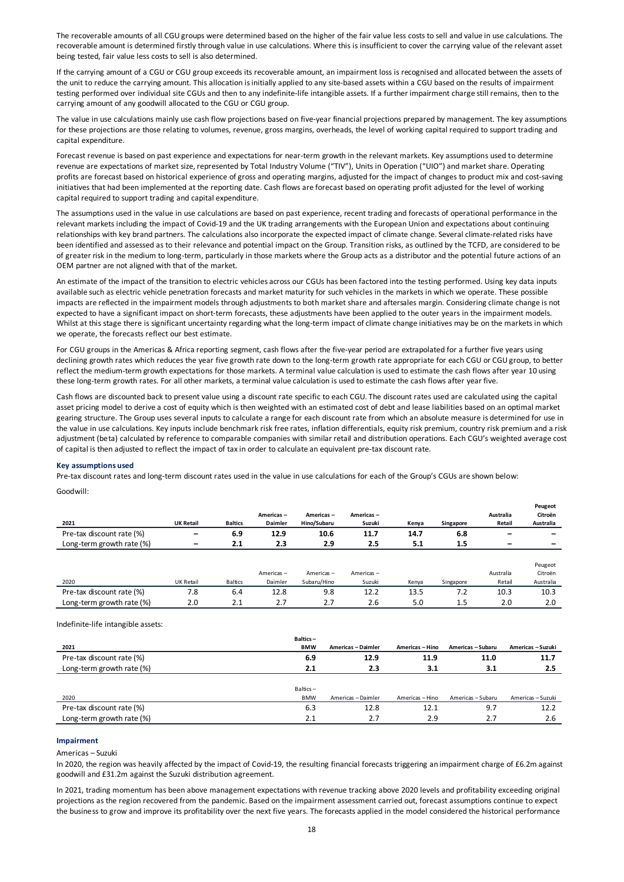The recoverable amounts of all CGU groups were determined based on the higher of the fair value less costs to sell and value in use calculations. The recoverable amount is determined firstly through value in use calculations. Where this is insufficient to cover the carrying value of the relevant asset being tested, fair value less costs to sell is also determined.

If the carrying amount of a CGU or CGU group exceeds its recoverable amount, an impairment loss is recognised and allocated between the assets of the unit to reduce the carrying amount. This allocation is initially applied to any site-based assets within a CGU based on the results of impairment testing performed over individual site CGUs and then to any indefinite-life intangible assets. If a further impairment charge still remains, then to the carrying amount of any goodwill allocated to the CGU or CGU group.

The value in use calculations mainly use cash flow projections based on five-year financial projections prepared by management. The key assumptions for these projections are those relating to volumes, revenue, gross margins, overheads, the level of working capital required to support trading and capital expenditure.

Forecast revenue is based on past experience and expectations for near-term growth in the relevant markets. Key assumptions used to determine revenue are expectations of market size, represented by Total Industry Volume ("TIV"), Units in Operation ("UIO") and market share. Operating profits are forecast based on historical experience of gross and operating margins, adjusted for the impact of changes to product mix and cost-saving initiatives that had been implemented at the reporting date. Cash flows are forecast based on operating profit adjusted for the level of working capital required to support trading and capital expenditure.

The assumptions used in the value in use calculations are based on past experience, recent trading and forecasts of operational performance in the relevant markets including the impact of Covid-19 and the UK trading arrangements with the European Union and expectations about continuing relationships with key brand partners. The calculations also incorporate the expected impact of climate change. Several climate-related risks have been identified and assessed as to their relevance and potential impact on the Group. Transition risks, as outlined by the TCFD, are considered to be of greater risk in the medium to long-term, particularly in those markets where the Group acts as a distributor and the potential future actions of an OEM partner are not aligned with that of the market.

An estimate of the impact of the transition to electric vehicles across our CGUs has been factored into the testing performed. Using key data inputs available such as electric vehicle penetration forecasts and market maturity for such vehicles in the markets in which we operate. These possible impacts are reflected in the impairment models through adjustments to both market share and aftersales margin. Considering climate change is not expected to have a significant impact on short-term forecasts, these adjustments have been applied to the outer years in the impairment models. Whilst at this stage there is significant uncertainty regarding what the long-term impact of climate change initiatives may be on the markets in which we operate, the forecasts reflect our best estimate.

For CGU groups in the Americas & Africa reporting segment, cash flows after the five-year period are extrapolated for a further five years using declining growth rates which reduces the year five growth rate down to the long-term growth rate appropriate for each CGU or CGU group, to better reflect the medium-term growth expectations for those markets. A terminal value calculation is used to estimate the cash flows after year 10 using these long-term growth rates. For all other markets, a terminal value calculation is used to estimate the cash flows after year five.

Cash flows are discounted back to present value using a discount rate specific to each CGU. The discount rates used are calculated using the capital asset pricing model to derive a cost of equity which is then weighted with an estimated cost of debt and lease liabilities based on an optimal market gearing structure. The Group uses several inputs to calculate a range for each discount rate from which an absolute measure is determined for use in the value in use calculations. Key inputs include benchmark risk free rates, inflation differentials, equity risk premium, country risk premium and a risk adjustment (beta) calculated by reference to comparable companies with similar retail and distribution operations. Each CGU's weighted average cost of capital is then adjusted to reflect the impact of tax in order to calculate an equivalent pre-tax discount rate.

#### **Key assumptions used**

Pre-tax discount rates and long-term discount rates used in the value in use calculations for each of the Group's CGUs are shown below:

Goodwill:

|                           |                          |                |                |             |           |       |           |           | .         |
|---------------------------|--------------------------|----------------|----------------|-------------|-----------|-------|-----------|-----------|-----------|
|                           |                          |                | Americas-      | Americas-   | Americas- |       |           | Australia | Citroën   |
| 2021                      | <b>UK Retail</b>         | <b>Baltics</b> | <b>Daimler</b> | Hino/Subaru | Suzuki    | Kenya | Singapore | Retail    | Australia |
| Pre-tax discount rate (%) | $\qquad \qquad$          | 6.9            | 12.9           | 10.6        | 11.7      | 14.7  | 6.8       |           | -         |
| Long-term growth rate (%) | $\overline{\phantom{a}}$ | 2.1            | 2.3            | 2.9         | 2.5       | 5.1   | 1.5       |           | -         |
|                           |                          |                |                |             |           |       |           |           |           |
|                           |                          |                |                |             |           |       |           |           | Peugeot   |
|                           |                          |                | Americas-      | Americas-   | Americas- |       |           | Australia | Citroën   |
| 2020                      | UK Retail                | <b>Baltics</b> | Daimler        | Subaru/Hino | Suzuki    | Kenya | Singapore | Retail    | Australia |
| Pre-tax discount rate (%) | 7.8                      | 6.4            | 12.8           | 9.8         | 12.2      | 13.5  | 7.2       | 10.3      | 10.3      |
| Long-term growth rate (%) | 2.0                      | 2.1            | 2.7            | 2.7         | 2.6       | 5.0   | 1.5       | 2.0       | 2.0       |

**Peugeot** 

Indefinite-life intangible assets:

|                           | Baltics-   |                    |                 |                   |                   |
|---------------------------|------------|--------------------|-----------------|-------------------|-------------------|
| 2021                      | <b>BMW</b> | Americas - Daimler | Americas - Hino | Americas - Subaru | Americas - Suzuki |
| Pre-tax discount rate (%) | 6.9        | 12.9               | 11.9            | 11.0              | 11.7              |
| Long-term growth rate (%) | 2.1        | 2.3                | 3.1             | 3.1               | 2.5               |
|                           |            |                    |                 |                   |                   |
|                           | Baltics-   |                    |                 |                   |                   |
| 2020                      | <b>BMW</b> | Americas - Daimler | Americas - Hino | Americas - Subaru | Americas - Suzuki |
| Pre-tax discount rate (%) | 6.3        | 12.8               | 12.1            | 9.7               | 12.2              |
| Long-term growth rate (%) | 2.1        | 2.7                | 2.9             | 2.7               | 2.6               |

#### **Impairment**

Americas – Suzuki

In 2020, the region was heavily affected by the impact of Covid-19, the resulting financial forecasts triggering an impairment charge of £6.2m against goodwill and £31.2m against the Suzuki distribution agreement.

In 2021, trading momentum has been above management expectations with revenue tracking above 2020 levels and profitability exceeding original projections as the region recovered from the pandemic. Based on the impairment assessment carried out, forecast assumptions continue to expect the business to grow and improve its profitability over the next five years. The forecasts applied in the model considered the historical performance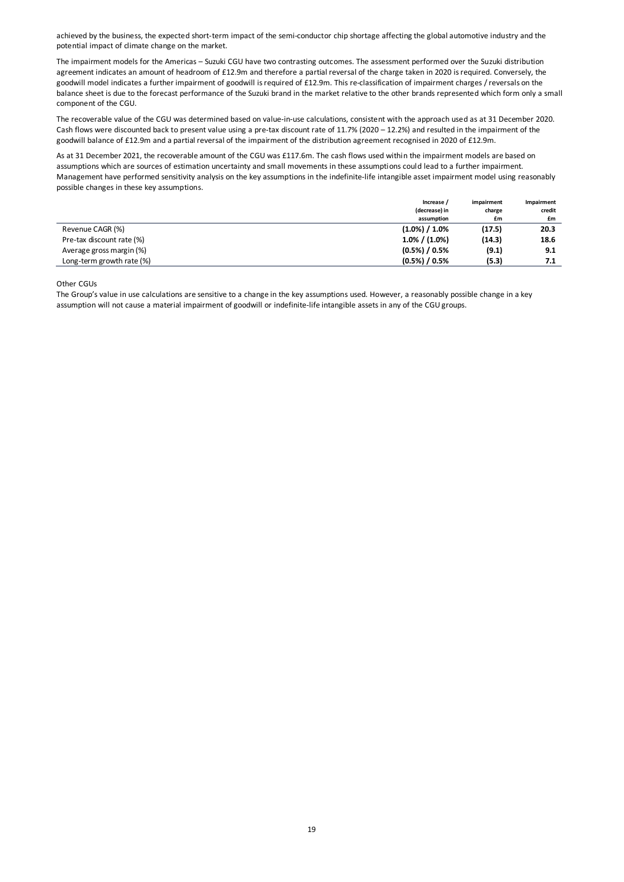achieved by the business, the expected short-term impact of the semi-conductor chip shortage affecting the global automotive industry and the potential impact of climate change on the market.

The impairment models for the Americas – Suzuki CGU have two contrasting outcomes. The assessment performed over the Suzuki distribution agreement indicates an amount of headroom of £12.9m and therefore a partial reversal of the charge taken in 2020 is required. Conversely, the goodwill model indicates a further impairment of goodwill is required of £12.9m. This re-classification of impairment charges / reversals on the balance sheet is due to the forecast performance of the Suzuki brand in the market relative to the other brands represented which form only a small component of the CGU.

The recoverable value of the CGU was determined based on value-in-use calculations, consistent with the approach used as at 31 December 2020. Cash flows were discounted back to present value using a pre-tax discount rate of 11.7% (2020 – 12.2%) and resulted in the impairment of the goodwill balance of £12.9m and a partial reversal of the impairment of the distribution agreement recognised in 2020 of £12.9m.

As at 31 December 2021, the recoverable amount of the CGU was £117.6m. The cash flows used within the impairment models are based on assumptions which are sources of estimation uncertainty and small movements in these assumptions could lead to a further impairment. Management have performed sensitivity analysis on the key assumptions in the indefinite-life intangible asset impairment model using reasonably possible changes in these key assumptions.

|                           | Increase /        | impairment | Impairment |
|---------------------------|-------------------|------------|------------|
|                           | (decrease) in     | charge     | credit     |
|                           | assumption        | £m         | £m         |
| Revenue CAGR (%)          | $(1.0\%) / 1.0\%$ | (17.5)     | 20.3       |
| Pre-tax discount rate (%) | $1.0\%$ / (1.0%)  | (14.3)     | 18.6       |
| Average gross margin (%)  | $(0.5\%) / 0.5\%$ | (9.1)      | 9.1        |
| Long-term growth rate (%) | $(0.5\%) / 0.5\%$ | (5.3)      | 7.1        |

Other CGUs

The Group's value in use calculations are sensitive to a change in the key assumptions used. However, a reasonably possible change in a key assumption will not cause a material impairment of goodwill or indefinite-life intangible assets in any of the CGU groups.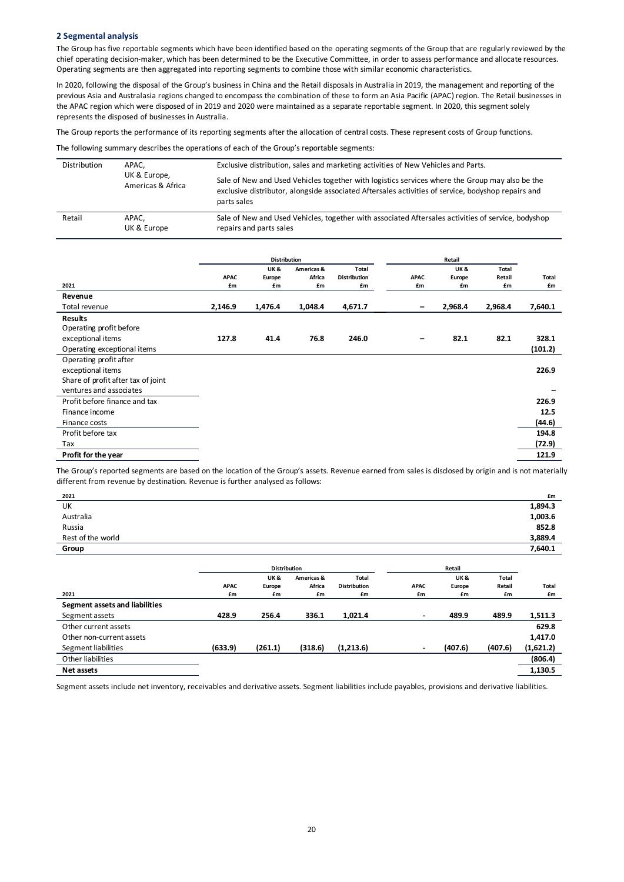#### **2 Segmental analysis**

The Group has five reportable segments which have been identified based on the operating segments of the Group that are regularly reviewed by the chief operating decision-maker, which has been determined to be the Executive Committee, in order to assess performance and allocate resources. Operating segments are then aggregated into reporting segments to combine those with similar economic characteristics.

In 2020, following the disposal of the Group's business in China and the Retail disposals in Australia in 2019, the management and reporting of the previous Asia and Australasia regions changed to encompass the combination of these to form an Asia Pacific (APAC) region. The Retail businesses in the APAC region which were disposed of in 2019 and 2020 were maintained as a separate reportable segment. In 2020, this segment solely represents the disposed of businesses in Australia.

The Group reports the performance of its reporting segments after the allocation of central costs. These represent costs of Group functions.

The following summary describes the operations of each of the Group's reportable segments:

| Distribution | APAC.<br>UK & Europe,<br>Americas & Africa | Exclusive distribution, sales and marketing activities of New Vehicles and Parts.                                                                                                                                   |  |  |  |  |
|--------------|--------------------------------------------|---------------------------------------------------------------------------------------------------------------------------------------------------------------------------------------------------------------------|--|--|--|--|
|              |                                            | Sale of New and Used Vehicles together with logistics services where the Group may also be the<br>exclusive distributor, alongside associated Aftersales activities of service, bodyshop repairs and<br>parts sales |  |  |  |  |
| Retail       | APAC.<br>UK & Europe                       | Sale of New and Used Vehicles, together with associated Aftersales activities of service, bodyshop<br>repairs and parts sales                                                                                       |  |  |  |  |

|                                    |             | <b>Distribution</b> |            |                     |             | Retail  |         |              |
|------------------------------------|-------------|---------------------|------------|---------------------|-------------|---------|---------|--------------|
|                                    |             | UK &                | Americas & | <b>Total</b>        |             | UK&     | Total   |              |
|                                    | <b>APAC</b> | Europe              | Africa     | <b>Distribution</b> | <b>APAC</b> | Europe  | Retail  | <b>Total</b> |
| 2021                               | £m          | £m                  | £m         | £m                  | £m          | £m      | £m      | £m           |
| Revenue                            |             |                     |            |                     |             |         |         |              |
| Total revenue                      | 2,146.9     | 1,476.4             | 1,048.4    | 4,671.7             | -           | 2,968.4 | 2,968.4 | 7,640.1      |
| <b>Results</b>                     |             |                     |            |                     |             |         |         |              |
| Operating profit before            |             |                     |            |                     |             |         |         |              |
| exceptional items                  | 127.8       | 41.4                | 76.8       | 246.0               | -           | 82.1    | 82.1    | 328.1        |
| Operating exceptional items        |             |                     |            |                     |             |         |         | (101.2)      |
| Operating profit after             |             |                     |            |                     |             |         |         |              |
| exceptional items                  |             |                     |            |                     |             |         |         | 226.9        |
| Share of profit after tax of joint |             |                     |            |                     |             |         |         |              |
| ventures and associates            |             |                     |            |                     |             |         |         |              |
| Profit before finance and tax      |             |                     |            |                     |             |         |         | 226.9        |
| Finance income                     |             |                     |            |                     |             |         |         | 12.5         |
| Finance costs                      |             |                     |            |                     |             |         |         | (44.6)       |
| Profit before tax                  |             |                     |            |                     |             |         |         | 194.8        |
| Tax                                |             |                     |            |                     |             |         |         | (72.9)       |
| Profit for the year                |             |                     |            |                     |             |         |         | 121.9        |

The Group's reported segments are based on the location of the Group's assets. Revenue earned from sales is disclosed by origin and is not materially different from revenue by destination. Revenue is further analysed as follows:

| 2021                           |             |                     |            |                     |             |         |         | £m           |
|--------------------------------|-------------|---------------------|------------|---------------------|-------------|---------|---------|--------------|
| UK                             |             |                     |            |                     |             |         |         | 1,894.3      |
| Australia                      |             |                     |            |                     |             |         |         | 1,003.6      |
| Russia                         |             |                     |            |                     |             |         |         | 852.8        |
| Rest of the world              |             |                     |            |                     |             |         |         | 3,889.4      |
| Group                          |             |                     |            |                     |             |         |         | 7,640.1      |
|                                |             |                     |            |                     |             |         |         |              |
|                                |             | <b>Distribution</b> |            |                     |             | Retail  |         |              |
|                                |             | UK &                | Americas & | Total               |             | UK&     | Total   |              |
|                                | <b>APAC</b> | Europe              | Africa     | <b>Distribution</b> | <b>APAC</b> | Europe  | Retail  | <b>Total</b> |
| 2021                           | £m          | £m                  | £m         | £m                  | £m          | £m      | £m      | £m           |
| Segment assets and liabilities |             |                     |            |                     |             |         |         |              |
| Segment assets                 | 428.9       | 256.4               | 336.1      | 1,021.4             | $\sim$      | 489.9   | 489.9   | 1,511.3      |
| Other current assets           |             |                     |            |                     |             |         |         | 629.8        |
| Other non-current assets       |             |                     |            |                     |             |         |         | 1,417.0      |
| Segment liabilities            | (633.9)     | (261.1)             | (318.6)    | (1,213.6)           | ۰.          | (407.6) | (407.6) | (1,621.2)    |
| Other liabilities              |             |                     |            |                     |             |         |         | (806.4)      |
| Net assets                     |             |                     |            |                     |             |         |         | 1,130.5      |

Segment assets include net inventory, receivables and derivative assets. Segment liabilities include payables, provisions and derivative liabilities.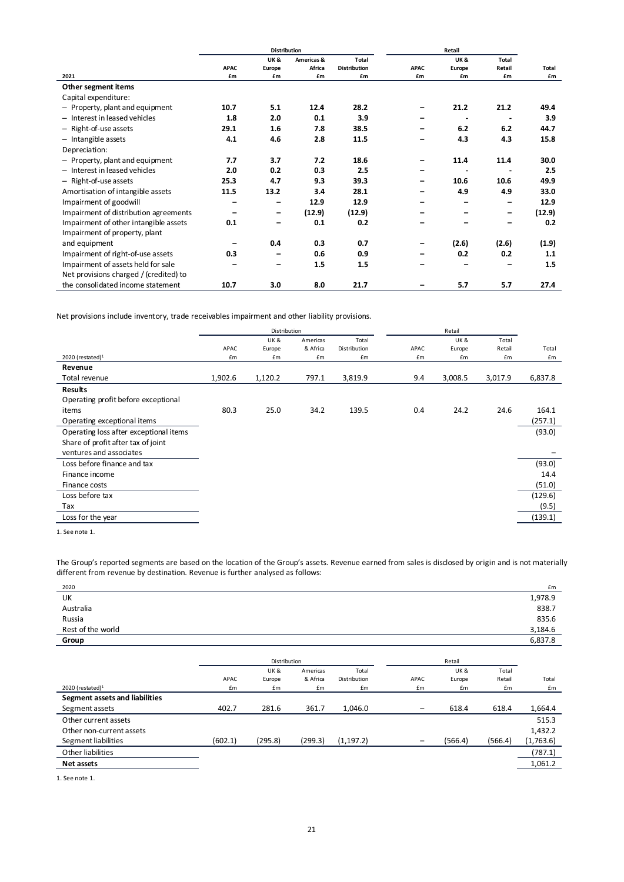|                                        |                          | <b>Distribution</b>      |            |                     |             | Retail |                          |        |
|----------------------------------------|--------------------------|--------------------------|------------|---------------------|-------------|--------|--------------------------|--------|
|                                        |                          | UK&                      | Americas & | <b>Total</b>        |             | UK&    | Total                    |        |
|                                        | <b>APAC</b>              | Europe                   | Africa     | <b>Distribution</b> | <b>APAC</b> | Europe | Retail                   | Total  |
| 2021                                   | £m                       | £m                       | £m         | £m                  | £m          | £m     | £m                       | £m     |
| Other segment items                    |                          |                          |            |                     |             |        |                          |        |
| Capital expenditure:                   |                          |                          |            |                     |             |        |                          |        |
| - Property, plant and equipment        | 10.7                     | 5.1                      | 12.4       | 28.2                |             | 21.2   | 21.2                     | 49.4   |
| - Interest in leased vehicles          | 1.8                      | 2.0                      | 0.1        | 3.9                 |             |        |                          | 3.9    |
| - Right-of-use assets                  | 29.1                     | 1.6                      | 7.8        | 38.5                |             | 6.2    | 6.2                      | 44.7   |
| $-$ Intangible assets                  | 4.1                      | 4.6                      | 2.8        | 11.5                |             | 4.3    | 4.3                      | 15.8   |
| Depreciation:                          |                          |                          |            |                     |             |        |                          |        |
| - Property, plant and equipment        | 7.7                      | 3.7                      | 7.2        | 18.6                |             | 11.4   | 11.4                     | 30.0   |
| - Interest in leased vehicles          | 2.0                      | 0.2                      | 0.3        | 2.5                 |             |        |                          | 2.5    |
| - Right-of-use assets                  | 25.3                     | 4.7                      | 9.3        | 39.3                |             | 10.6   | 10.6                     | 49.9   |
| Amortisation of intangible assets      | 11.5                     | 13.2                     | 3.4        | 28.1                |             | 4.9    | 4.9                      | 33.0   |
| Impairment of goodwill                 | $\overline{\phantom{0}}$ |                          | 12.9       | 12.9                |             |        | $\overline{\phantom{0}}$ | 12.9   |
| Impairment of distribution agreements  | $\overline{\phantom{0}}$ | $\overline{\phantom{m}}$ | (12.9)     | (12.9)              |             |        | $\overline{\phantom{0}}$ | (12.9) |
| Impairment of other intangible assets  | 0.1                      |                          | 0.1        | 0.2                 |             |        |                          | 0.2    |
| Impairment of property, plant          |                          |                          |            |                     |             |        |                          |        |
| and equipment                          |                          | 0.4                      | 0.3        | 0.7                 |             | (2.6)  | (2.6)                    | (1.9)  |
| Impairment of right-of-use assets      | 0.3                      |                          | 0.6        | 0.9                 |             | 0.2    | 0.2                      | 1.1    |
| Impairment of assets held for sale     |                          |                          | 1.5        | 1.5                 |             |        |                          | 1.5    |
| Net provisions charged / (credited) to |                          |                          |            |                     |             |        |                          |        |
| the consolidated income statement      | 10.7                     | 3.0                      | 8.0        | 21.7                |             | 5.7    | 5.7                      | 27.4   |

Net provisions include inventory, trade receivables impairment and other liability provisions.

|                                        |         | Distribution   |          |              |      | Retail  |         |         |
|----------------------------------------|---------|----------------|----------|--------------|------|---------|---------|---------|
|                                        |         | <b>UK&amp;</b> | Americas | Total        |      | UK&     | Total   |         |
|                                        | APAC    | Europe         | & Africa | Distribution | APAC | Europe  | Retail  | Total   |
| 2020 (restated) <sup>1</sup>           | £m      | £m             | £m       | £m           | £m   | £m      | £m      | £m      |
| Revenue                                |         |                |          |              |      |         |         |         |
| Total revenue                          | 1,902.6 | 1,120.2        | 797.1    | 3,819.9      | 9.4  | 3,008.5 | 3,017.9 | 6,837.8 |
| <b>Results</b>                         |         |                |          |              |      |         |         |         |
| Operating profit before exceptional    |         |                |          |              |      |         |         |         |
| items                                  | 80.3    | 25.0           | 34.2     | 139.5        | 0.4  | 24.2    | 24.6    | 164.1   |
| Operating exceptional items            |         |                |          |              |      |         |         | (257.1) |
| Operating loss after exceptional items |         |                |          |              |      |         |         | (93.0)  |
| Share of profit after tax of joint     |         |                |          |              |      |         |         |         |
| ventures and associates                |         |                |          |              |      |         |         |         |
| Loss before finance and tax            |         |                |          |              |      |         |         | (93.0)  |
| Finance income                         |         |                |          |              |      |         |         | 14.4    |
| Finance costs                          |         |                |          |              |      |         |         | (51.0)  |
| Loss before tax                        |         |                |          |              |      |         |         | (129.6) |
| Tax                                    |         |                |          |              |      |         |         | (9.5)   |
| Loss for the year                      |         |                |          |              |      |         |         | (139.1) |
| $1 - 0$                                |         |                |          |              |      |         |         |         |

1. See note 1.

The Group's reported segments are based on the location of the Group's assets. Revenue earned from sales is disclosed by origin and is not materially different from revenue by destination. Revenue is further analysed as follows:

| 2020              | £m      |
|-------------------|---------|
| UK                | 1,978.9 |
| Australia         | 838.7   |
| Russia            | 835.6   |
| Rest of the world | 3,184.6 |
| Group             | 6,837.8 |

|                                |         | Distribution |          |              |      | Retail         |         |           |
|--------------------------------|---------|--------------|----------|--------------|------|----------------|---------|-----------|
|                                |         | UK &         | Americas | Total        |      | <b>UK&amp;</b> | Total   |           |
|                                | APAC    | Europe       | & Africa | Distribution | APAC | Europe         | Retail  | Total     |
| 2020 (restated) <sup>1</sup>   | £m      | £m           | £m       | £m           | £m   | £m             | £m      | £m        |
| Segment assets and liabilities |         |              |          |              |      |                |         |           |
| Segment assets                 | 402.7   | 281.6        | 361.7    | 1,046.0      | -    | 618.4          | 618.4   | 1,664.4   |
| Other current assets           |         |              |          |              |      |                |         | 515.3     |
| Other non-current assets       |         |              |          |              |      |                |         | 1,432.2   |
| Segment liabilities            | (602.1) | (295.8)      | (299.3)  | (1, 197.2)   |      | (566.4)        | (566.4) | (1,763.6) |
| Other liabilities              |         |              |          |              |      |                |         | (787.1)   |
| Net assets                     |         |              |          |              |      |                |         | 1,061.2   |

1. See note 1.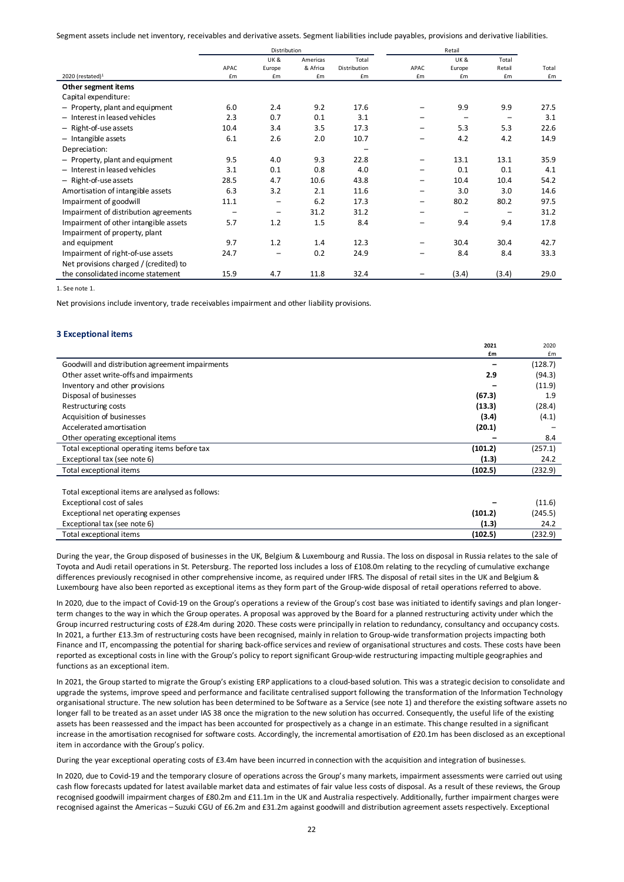Segment assets include net inventory, receivables and derivative assets. Segment liabilities include payables, provisions and derivative liabilities.

|                                        |      | Distribution      |          |              |      | Retail                   |                          |       |
|----------------------------------------|------|-------------------|----------|--------------|------|--------------------------|--------------------------|-------|
|                                        |      | <b>UK&amp;</b>    | Americas | Total        |      | <b>UK&amp;</b>           | Total                    |       |
|                                        | APAC | Europe            | & Africa | Distribution | APAC | Europe                   | Retail                   | Total |
| 2020 (restated) <sup>1</sup>           | £m   | £m                | £m       | £m           | £m   | £m                       | £m                       | £m    |
| Other segment items                    |      |                   |          |              |      |                          |                          |       |
| Capital expenditure:                   |      |                   |          |              |      |                          |                          |       |
| - Property, plant and equipment        | 6.0  | 2.4               | 9.2      | 17.6         |      | 9.9                      | 9.9                      | 27.5  |
| - Interest in leased vehicles          | 2.3  | 0.7               | 0.1      | 3.1          |      | $\overline{\phantom{0}}$ | $\overline{\phantom{0}}$ | 3.1   |
| - Right-of-use assets                  | 10.4 | 3.4               | 3.5      | 17.3         |      | 5.3                      | 5.3                      | 22.6  |
| $-$ Intangible assets                  | 6.1  | 2.6               | 2.0      | 10.7         |      | 4.2                      | 4.2                      | 14.9  |
| Depreciation:                          |      |                   |          |              |      |                          |                          |       |
| - Property, plant and equipment        | 9.5  | 4.0               | 9.3      | 22.8         |      | 13.1                     | 13.1                     | 35.9  |
| - Interest in leased vehicles          | 3.1  | 0.1               | 0.8      | 4.0          |      | 0.1                      | 0.1                      | 4.1   |
| - Right-of-use assets                  | 28.5 | 4.7               | 10.6     | 43.8         |      | 10.4                     | 10.4                     | 54.2  |
| Amortisation of intangible assets      | 6.3  | 3.2               | 2.1      | 11.6         |      | 3.0                      | 3.0                      | 14.6  |
| Impairment of goodwill                 | 11.1 | $\qquad \qquad -$ | 6.2      | 17.3         | -    | 80.2                     | 80.2                     | 97.5  |
| Impairment of distribution agreements  |      | $\qquad \qquad -$ | 31.2     | 31.2         |      |                          |                          | 31.2  |
| Impairment of other intangible assets  | 5.7  | 1.2               | 1.5      | 8.4          |      | 9.4                      | 9.4                      | 17.8  |
| Impairment of property, plant          |      |                   |          |              |      |                          |                          |       |
| and equipment                          | 9.7  | 1.2               | 1.4      | 12.3         |      | 30.4                     | 30.4                     | 42.7  |
| Impairment of right-of-use assets      | 24.7 |                   | 0.2      | 24.9         |      | 8.4                      | 8.4                      | 33.3  |
| Net provisions charged / (credited) to |      |                   |          |              |      |                          |                          |       |
| the consolidated income statement      | 15.9 | 4.7               | 11.8     | 32.4         |      | (3.4)                    | (3.4)                    | 29.0  |

1. See note 1.

Net provisions include inventory, trade receivables impairment and other liability provisions.

#### **3 Exceptional items**

|                                                  | £m      | £m      |
|--------------------------------------------------|---------|---------|
| Goodwill and distribution agreement impairments  |         | (128.7) |
| Other asset write-offs and impairments           | 2.9     | (94.3)  |
| Inventory and other provisions                   |         | (11.9)  |
| Disposal of businesses                           | (67.3)  | 1.9     |
| Restructuring costs                              | (13.3)  | (28.4)  |
| Acquisition of businesses                        | (3.4)   | (4.1)   |
| Accelerated amortisation                         | (20.1)  |         |
| Other operating exceptional items                |         | 8.4     |
| Total exceptional operating items before tax     | (101.2) | (257.1) |
| Exceptional tax (see note 6)                     | (1.3)   | 24.2    |
| Total exceptional items                          | (102.5) | (232.9) |
|                                                  |         |         |
| Total exceptional items are analysed as follows: |         |         |
| Exceptional cost of sales                        |         | (11.6)  |
| Exceptional net operating expenses               | (101.2) | (245.5) |
| Exceptional tax (see note 6)                     | (1.3)   | 24.2    |
| Total exceptional items                          | (102.5) | (232.9) |

**2021** 

2020

During the year, the Group disposed of businesses in the UK, Belgium & Luxembourg and Russia. The loss on disposal in Russia relates to the sale of Toyota and Audi retail operations in St. Petersburg. The reported loss includes a loss of £108.0m relating to the recycling of cumulative exchange differences previously recognised in other comprehensive income, as required under IFRS. The disposal of retail sites in the UK and Belgium & Luxembourg have also been reported as exceptional items as they form part of the Group-wide disposal of retail operations referred to above.

In 2020, due to the impact of Covid-19 on the Group's operations a review of the Group's cost base was initiated to identify savings and plan longerterm changes to the way in which the Group operates. A proposal was approved by the Board for a planned restructuring activity under which the Group incurred restructuring costs of £28.4m during 2020. These costs were principally in relation to redundancy, consultancy and occupancy costs. In 2021, a further £13.3m of restructuring costs have been recognised, mainly in relation to Group-wide transformation projects impacting both Finance and IT, encompassing the potential for sharing back-office services and review of organisational structures and costs. These costs have been reported as exceptional costs in line with the Group's policy to report significant Group-wide restructuring impacting multiple geographies and functions as an exceptional item.

In 2021, the Group started to migrate the Group's existing ERP applications to a cloud-based solution. This was a strategic decision to consolidate and upgrade the systems, improve speed and performance and facilitate centralised support following the transformation of the Information Technology organisational structure. The new solution has been determined to be Software as a Service (see note 1) and therefore the existing software assets no longer fall to be treated as an asset under IAS 38 once the migration to the new solution has occurred. Consequently, the useful life of the existing assets has been reassessed and the impact has been accounted for prospectively as a change in an estimate. This change resulted in a significant increase in the amortisation recognised for software costs. Accordingly, the incremental amortisation of £20.1m has been disclosed as an exceptional item in accordance with the Group's policy.

During the year exceptional operating costs of £3.4m have been incurred in connection with the acquisition and integration of businesses.

In 2020, due to Covid-19 and the temporary closure of operations across the Group's many markets, impairment assessments were carried out using cash flow forecasts updated for latest available market data and estimates of fair value less costs of disposal. As a result of these reviews, the Group recognised goodwill impairment charges of £80.2m and £11.1m in the UK and Australia respectively. Additionally, further impairment charges were recognised against the Americas – Suzuki CGU of £6.2m and £31.2m against goodwill and distribution agreement assets respectively. Exceptional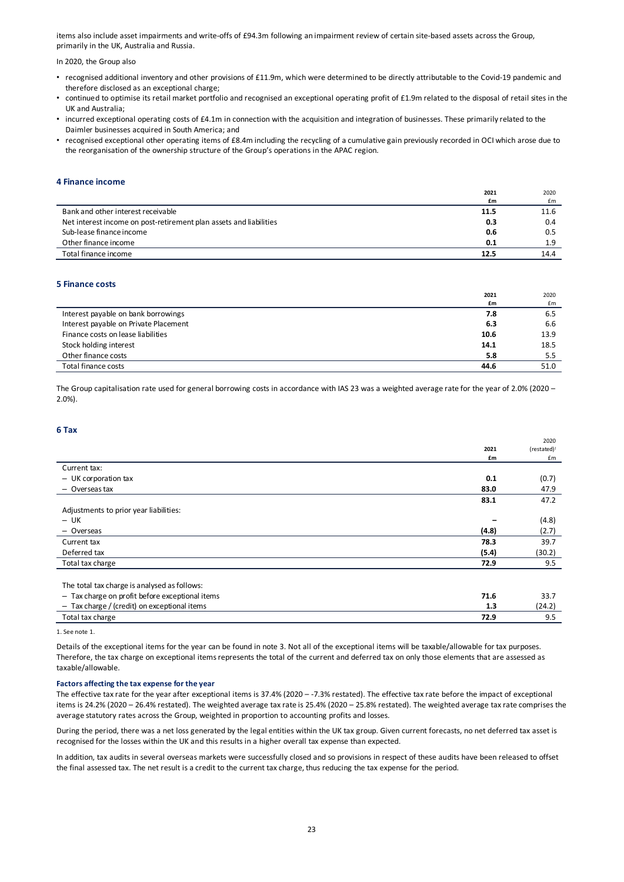items also include asset impairments and write-offs of £94.3m following an impairment review of certain site-based assets across the Group, primarily in the UK, Australia and Russia.

In 2020, the Group also

- recognised additional inventory and other provisions of £11.9m, which were determined to be directly attributable to the Covid-19 pandemic and therefore disclosed as an exceptional charge;
- continued to optimise its retail market portfolio and recognised an exceptional operating profit of £1.9m related to the disposal of retail sites in the UK and Australia;
- incurred exceptional operating costs of £4.1m in connection with the acquisition and integration of businesses. These primarily related to the Daimler businesses acquired in South America; and
- recognised exceptional other operating items of £8.4m including the recycling of a cumulative gain previously recorded in OCI which arose due to the reorganisation of the ownership structure of the Group's operations in the APAC region.

#### **4 Finance income**

|                                                                    | 2021 | 2020 |
|--------------------------------------------------------------------|------|------|
|                                                                    | £m   | £m   |
| Bank and other interest receivable                                 | 11.5 | 11.6 |
| Net interest income on post-retirement plan assets and liabilities | 0.3  | 0.4  |
| Sub-lease finance income                                           | 0.6  | 0.5  |
| Other finance income                                               | 0.1  | 1.9  |
| Total finance income                                               | 12.5 | 14.4 |
|                                                                    |      |      |

#### **5 Finance costs**

|                                       | 2021 | 2020 |
|---------------------------------------|------|------|
|                                       | £m   | £m   |
| Interest payable on bank borrowings   | 7.8  | 6.5  |
| Interest payable on Private Placement | 6.3  | 6.6  |
| Finance costs on lease liabilities    | 10.6 | 13.9 |
| Stock holding interest                | 14.1 | 18.5 |
| Other finance costs                   | 5.8  | 5.5  |
| Total finance costs                   | 44.6 | 51.0 |

The Group capitalisation rate used for general borrowing costs in accordance with IAS 23 was a weighted average rate for the year of 2.0% (2020 – 2.0%).

#### **6 Tax**

|                                                 |       | 2020        |
|-------------------------------------------------|-------|-------------|
|                                                 | 2021  | (restated)! |
|                                                 | £m    | £m          |
| Current tax:                                    |       |             |
| $-$ UK corporation tax                          | 0.1   | (0.7)       |
| - Overseas tax                                  | 83.0  | 47.9        |
|                                                 | 83.1  | 47.2        |
| Adjustments to prior year liabilities:          |       |             |
| $-$ UK                                          |       | (4.8)       |
| - Overseas                                      | (4.8) | (2.7)       |
| Current tax                                     | 78.3  | 39.7        |
| Deferred tax                                    | (5.4) | (30.2)      |
| Total tax charge                                | 72.9  | 9.5         |
|                                                 |       |             |
| The total tax charge is analysed as follows:    |       |             |
| - Tax charge on profit before exceptional items | 71.6  | 33.7        |
| $-$ Tax charge / (credit) on exceptional items  | 1.3   | (24.2)      |

Total tax charge **72.9** 9.5

1. See note 1.

Details of the exceptional items for the year can be found in note 3. Not all of the exceptional items will be taxable/allowable for tax purposes. Therefore, the tax charge on exceptional items represents the total of the current and deferred tax on only those elements that are assessed as taxable/allowable.

#### **Factors affecting the tax expense for the year**

The effective tax rate for the year after exceptional items is 37.4% (2020 – -7.3% restated). The effective tax rate before the impact of exceptional items is 24.2% (2020 – 26.4% restated). The weighted average tax rate is 25.4% (2020 – 25.8% restated). The weighted average tax rate comprises the average statutory rates across the Group, weighted in proportion to accounting profits and losses.

During the period, there was a net loss generated by the legal entities within the UK tax group. Given current forecasts, no net deferred tax asset is recognised for the losses within the UK and this results in a higher overall tax expense than expected.

In addition, tax audits in several overseas markets were successfully closed and so provisions in respect of these audits have been released to offset the final assessed tax. The net result is a credit to the current tax charge, thus reducing the tax expense for the period.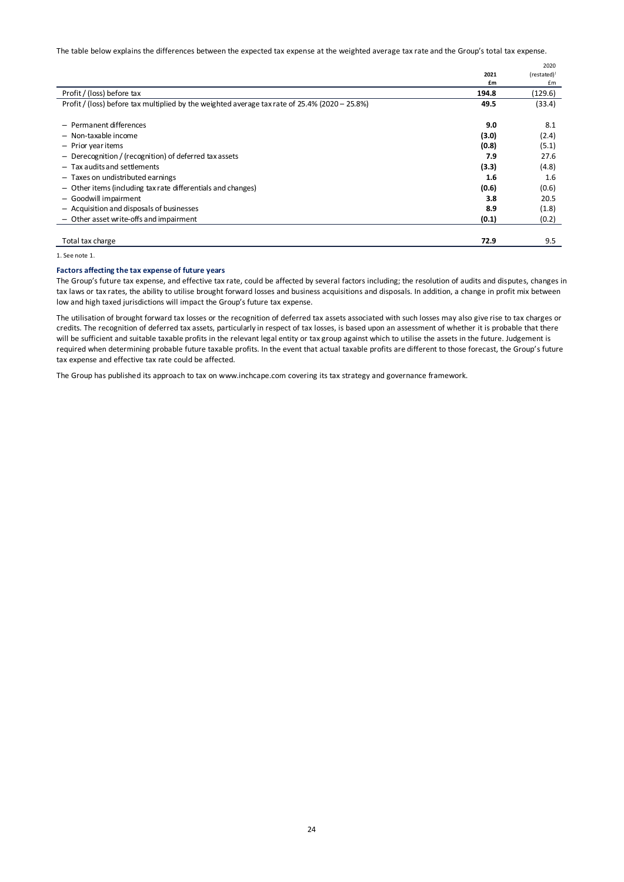The table below explains the differences between the expected tax expense at the weighted average tax rate and the Group's total tax expense.

|                                                                                                |       | 2020        |
|------------------------------------------------------------------------------------------------|-------|-------------|
|                                                                                                | 2021  | (restated)! |
|                                                                                                | £m    | £m          |
| Profit / (loss) before tax                                                                     | 194.8 | (129.6)     |
| Profit / (loss) before tax multiplied by the weighted average tax rate of 25.4% (2020 - 25.8%) | 49.5  | (33.4)      |
|                                                                                                |       |             |
| - Permanent differences                                                                        | 9.0   | 8.1         |
| - Non-taxable income                                                                           | (3.0) | (2.4)       |
| - Prior year items                                                                             | (0.8) | (5.1)       |
| - Derecognition / (recognition) of deferred tax assets                                         | 7.9   | 27.6        |
| $-$ Tax audits and settlements                                                                 | (3.3) | (4.8)       |
| - Taxes on undistributed earnings                                                              | 1.6   | 1.6         |
| - Other items (including tax rate differentials and changes)                                   | (0.6) | (0.6)       |
| - Goodwill impairment                                                                          | 3.8   | 20.5        |
| - Acquisition and disposals of businesses                                                      | 8.9   | (1.8)       |
| Other asset write-offs and impairment                                                          | (0.1) | (0.2)       |
|                                                                                                |       |             |
| Total tax charge                                                                               | 72.9  | 9.5         |

1. See note 1.

#### **Factors affecting the tax expense of future years**

The Group's future tax expense, and effective tax rate, could be affected by several factors including; the resolution of audits and disputes, changes in tax laws or tax rates, the ability to utilise brought forward losses and business acquisitions and disposals. In addition, a change in profit mix between low and high taxed jurisdictions will impact the Group's future tax expense.

The utilisation of brought forward tax losses or the recognition of deferred tax assets associated with such losses may also give rise to tax charges or credits. The recognition of deferred tax assets, particularly in respect of tax losses, is based upon an assessment of whether it is probable that there will be sufficient and suitable taxable profits in the relevant legal entity or tax group against which to utilise the assets in the future. Judgement is required when determining probable future taxable profits. In the event that actual taxable profits are different to those forecast, the Group's future tax expense and effective tax rate could be affected.

The Group has published its approach to tax on www.inchcape.com covering its tax strategy and governance framework.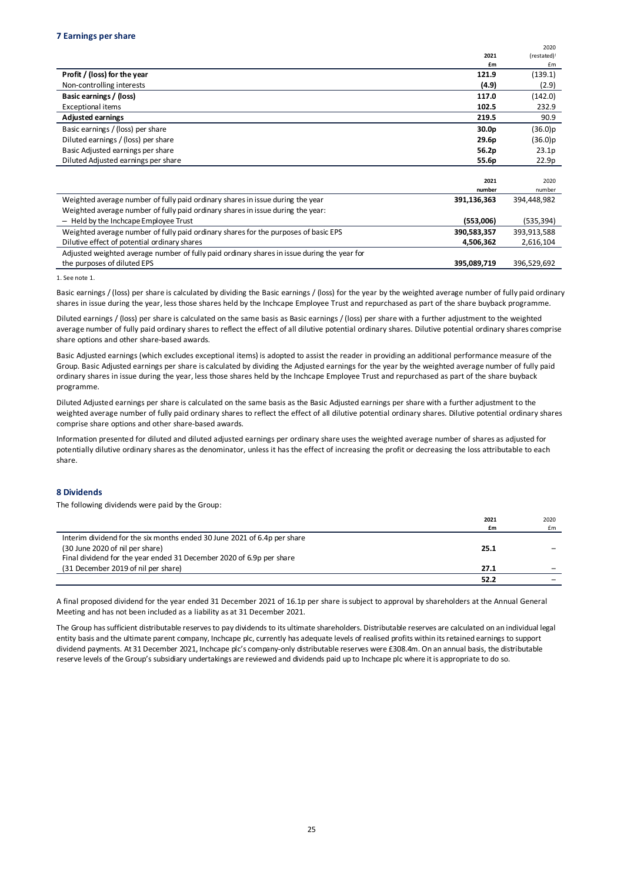|                                                                                             |                   | 2020        |
|---------------------------------------------------------------------------------------------|-------------------|-------------|
|                                                                                             | 2021              | (restated)! |
|                                                                                             | £m                | £m          |
| Profit / (loss) for the year                                                                | 121.9             | (139.1)     |
| Non-controlling interests                                                                   | (4.9)             | (2.9)       |
| Basic earnings / (loss)                                                                     | 117.0             | (142.0)     |
| Exceptional items                                                                           | 102.5             | 232.9       |
| <b>Adjusted earnings</b>                                                                    | 219.5             | 90.9        |
| Basic earnings / (loss) per share                                                           | 30.0 <sub>p</sub> | (36.0)p     |
| Diluted earnings / (loss) per share                                                         | 29.6p             | (36.0)p     |
| Basic Adjusted earnings per share                                                           | 56.2p             | 23.1p       |
| Diluted Adjusted earnings per share                                                         | 55.6p             | 22.9p       |
|                                                                                             |                   |             |
|                                                                                             | 2021              | 2020        |
|                                                                                             | number            | number      |
| Weighted average number of fully paid ordinary shares in issue during the year              | 391,136,363       | 394,448,982 |
| Weighted average number of fully paid ordinary shares in issue during the year:             |                   |             |
| - Held by the Inchcape Employee Trust                                                       | (553,006)         | (535,394)   |
| Weighted average number of fully paid ordinary shares for the purposes of basic EPS         | 390,583,357       | 393,913,588 |
| Dilutive effect of potential ordinary shares                                                | 4,506,362         | 2,616,104   |
| Adjusted weighted average number of fully paid ordinary shares in issue during the year for |                   |             |
| the purposes of diluted EPS                                                                 | 395,089,719       | 396,529,692 |

1. See note 1.

Basic earnings / (loss) per share is calculated by dividing the Basic earnings / (loss) for the year by the weighted average number of fully paid ordinary shares in issue during the year, less those shares held by the Inchcape Employee Trust and repurchased as part of the share buyback programme.

Diluted earnings / (loss) per share is calculated on the same basis as Basic earnings / (loss) per share with a further adjustment to the weighted average number of fully paid ordinary shares to reflect the effect of all dilutive potential ordinary shares. Dilutive potential ordinary shares comprise share options and other share-based awards.

Basic Adjusted earnings (which excludes exceptional items) is adopted to assist the reader in providing an additional performance measure of the Group. Basic Adjusted earnings per share is calculated by dividing the Adjusted earnings for the year by the weighted average number of fully paid ordinary shares in issue during the year, less those shares held by the Inchcape Employee Trust and repurchased as part of the share buyback programme.

Diluted Adjusted earnings per share is calculated on the same basis as the Basic Adjusted earnings per share with a further adjustment to the weighted average number of fully paid ordinary shares to reflect the effect of all dilutive potential ordinary shares. Dilutive potential ordinary shares comprise share options and other share-based awards.

Information presented for diluted and diluted adjusted earnings per ordinary share uses the weighted average number of shares as adjusted for potentially dilutive ordinary shares as the denominator, unless it has the effect of increasing the profit or decreasing the loss attributable to each share.

#### **8 Dividends**

The following dividends were paid by the Group:

|                                                                          | 2021 | 2020 |
|--------------------------------------------------------------------------|------|------|
|                                                                          | £m   | £m   |
| Interim dividend for the six months ended 30 June 2021 of 6.4p per share |      |      |
| (30 June 2020 of nil per share)                                          | 25.1 |      |
| Final dividend for the year ended 31 December 2020 of 6.9p per share     |      |      |
| (31 December 2019 of nil per share)                                      | 27.1 |      |
|                                                                          | 52.2 |      |
|                                                                          |      |      |

A final proposed dividend for the year ended 31 December 2021 of 16.1p per share is subject to approval by shareholders at the Annual General Meeting and has not been included as a liability as at 31 December 2021.

The Group has sufficient distributable reserves to pay dividends to its ultimate shareholders. Distributable reserves are calculated on an individual legal entity basis and the ultimate parent company, Inchcape plc, currently has adequate levels of realised profits within its retained earnings to support dividend payments. At 31 December 2021, Inchcape plc's company-only distributable reserves were £308.4m. On an annual basis, the distributable reserve levels of the Group's subsidiary undertakings are reviewed and dividends paid up to Inchcape plc where it is appropriate to do so.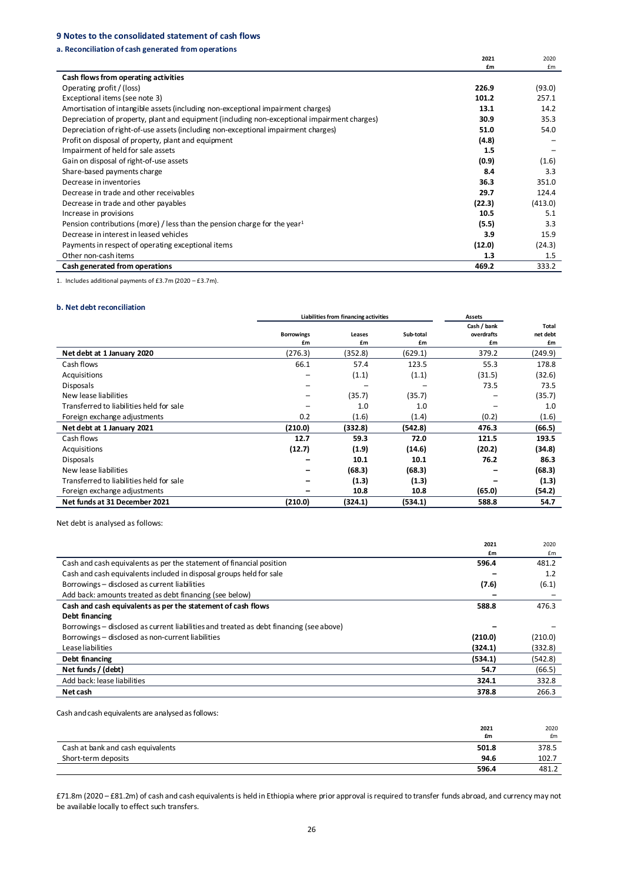### **9 Notes to the consolidated statement of cash flows**

#### **a. Reconciliation of cash generated from operations**

|                                                                                              | 2021   | 2020    |
|----------------------------------------------------------------------------------------------|--------|---------|
|                                                                                              | £m     | £m      |
| Cash flows from operating activities                                                         |        |         |
| Operating profit / (loss)                                                                    | 226.9  | (93.0)  |
| Exceptional items (see note 3)                                                               | 101.2  | 257.1   |
| Amortisation of intangible assets (including non-exceptional impairment charges)             | 13.1   | 14.2    |
| Depreciation of property, plant and equipment (including non-exceptional impairment charges) | 30.9   | 35.3    |
| Depreciation of right-of-use assets (including non-exceptional impairment charges)           | 51.0   | 54.0    |
| Profit on disposal of property, plant and equipment                                          | (4.8)  |         |
| Impairment of held for sale assets                                                           | 1.5    |         |
| Gain on disposal of right-of-use assets                                                      | (0.9)  | (1.6)   |
| Share-based payments charge                                                                  | 8.4    | 3.3     |
| Decrease in inventories                                                                      | 36.3   | 351.0   |
| Decrease in trade and other receivables                                                      | 29.7   | 124.4   |
| Decrease in trade and other payables                                                         | (22.3) | (413.0) |
| Increase in provisions                                                                       | 10.5   | 5.1     |
| Pension contributions (more) / less than the pension charge for the year <sup>1</sup>        | (5.5)  | 3.3     |
| Decrease in interest in leased vehicles                                                      | 3.9    | 15.9    |
| Payments in respect of operating exceptional items                                           | (12.0) | (24.3)  |
| Other non-cash items                                                                         | 1.3    | 1.5     |
| Cash generated from operations                                                               | 469.2  | 333.2   |

1. Includes additional payments of £3.7m (2020 – £3.7m).

#### **b. Net debt reconciliation**

|                                          | Liabilities from financing activities |         |           | <b>Assets</b> |          |
|------------------------------------------|---------------------------------------|---------|-----------|---------------|----------|
|                                          |                                       |         |           | Cash / bank   | Total    |
|                                          | <b>Borrowings</b>                     | Leases  | Sub-total | overdrafts    | net debt |
|                                          | £m                                    | £m      | £m        | £m            | £m       |
| Net debt at 1 January 2020               | (276.3)                               | (352.8) | (629.1)   | 379.2         | (249.9)  |
| Cash flows                               | 66.1                                  | 57.4    | 123.5     | 55.3          | 178.8    |
| Acquisitions                             | -                                     | (1.1)   | (1.1)     | (31.5)        | (32.6)   |
| <b>Disposals</b>                         |                                       |         |           | 73.5          | 73.5     |
| New lease liabilities                    |                                       | (35.7)  | (35.7)    |               | (35.7)   |
| Transferred to liabilities held for sale |                                       | 1.0     | 1.0       |               | 1.0      |
| Foreign exchange adjustments             | 0.2                                   | (1.6)   | (1.4)     | (0.2)         | (1.6)    |
| Net debt at 1 January 2021               | (210.0)                               | (332.8) | (542.8)   | 476.3         | (66.5)   |
| Cash flows                               | 12.7                                  | 59.3    | 72.0      | 121.5         | 193.5    |
| Acquisitions                             | (12.7)                                | (1.9)   | (14.6)    | (20.2)        | (34.8)   |
| <b>Disposals</b>                         |                                       | 10.1    | 10.1      | 76.2          | 86.3     |
| New lease liabilities                    |                                       | (68.3)  | (68.3)    |               | (68.3)   |
| Transferred to liabilities held for sale |                                       | (1.3)   | (1.3)     |               | (1.3)    |
| Foreign exchange adjustments             |                                       | 10.8    | 10.8      | (65.0)        | (54.2)   |
| Net funds at 31 December 2021            | (210.0)                               | (324.1) | (534.1)   | 588.8         | 54.7     |

Net debt is analysed as follows:

|                                                                                         | 2021    | 2020    |
|-----------------------------------------------------------------------------------------|---------|---------|
|                                                                                         | £m      | £m      |
| Cash and cash equivalents as per the statement of financial position                    | 596.4   | 481.2   |
| Cash and cash equivalents included in disposal groups held for sale                     |         | 1.2     |
| Borrowings - disclosed as current liabilities                                           | (7.6)   | (6.1)   |
| Add back: amounts treated as debt financing (see below)                                 |         |         |
| Cash and cash equivalents as per the statement of cash flows                            | 588.8   | 476.3   |
| Debt financing                                                                          |         |         |
| Borrowings – disclosed as current liabilities and treated as debt financing (see above) |         |         |
| Borrowings - disclosed as non-current liabilities                                       | (210.0) | (210.0) |
| Lease liabilities                                                                       | (324.1) | (332.8) |
| Debt financing                                                                          | (534.1) | (542.8) |
| Net funds / (debt)                                                                      | 54.7    | (66.5)  |
| Add back: lease liabilities                                                             | 324.1   | 332.8   |
| Net cash                                                                                | 378.8   | 266.3   |

Cash and cash equivalents are analysed as follows:

|                                   | 2021<br>£m | 2020<br>£m |
|-----------------------------------|------------|------------|
| Cash at bank and cash equivalents | 501.8      | 378.5      |
| Short-term deposits               | 94.6       | 102.7      |
|                                   | 596.4      | 481.2      |

£71.8m (2020 – £81.2m) of cash and cash equivalents is held in Ethiopia where prior approval is required to transfer funds abroad, and currency may not be available locally to effect such transfers.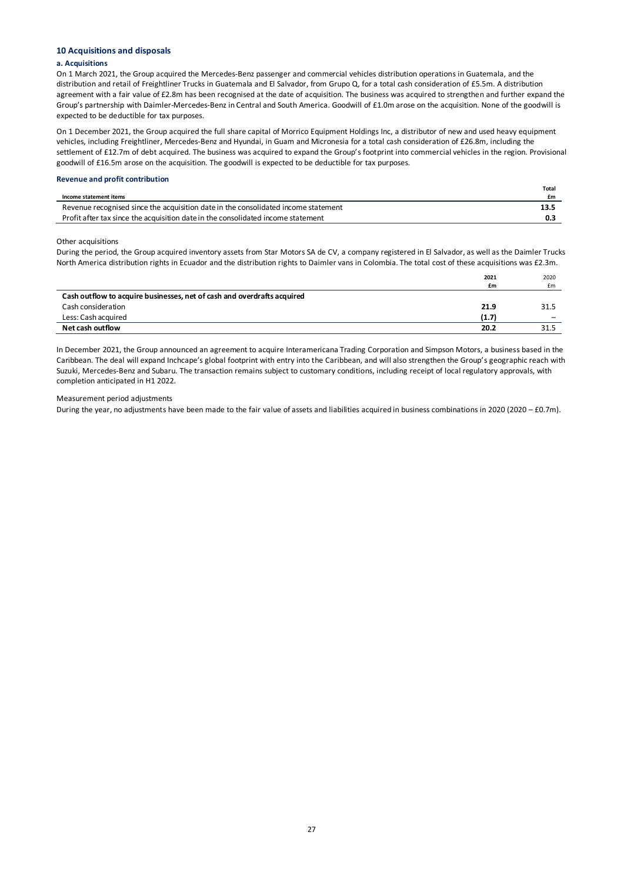#### **10 Acquisitions and disposals**

#### **a. Acquisitions**

On 1 March 2021, the Group acquired the Mercedes-Benz passenger and commercial vehicles distribution operations in Guatemala, and the distribution and retail of Freightliner Trucks in Guatemala and El Salvador, from Grupo Q, for a total cash consideration of £5.5m. A distribution agreement with a fair value of £2.8m has been recognised at the date of acquisition. The business was acquired to strengthen and further expand the Group's partnership with Daimler-Mercedes-Benz in Central and South America. Goodwill of £1.0m arose on the acquisition. None of the goodwill is expected to be deductible for tax purposes.

On 1 December 2021, the Group acquired the full share capital of Morrico Equipment Holdings Inc, a distributor of new and used heavy equipment vehicles, including Freightliner, Mercedes-Benz and Hyundai, in Guam and Micronesia for a total cash consideration of £26.8m, including the settlement of £12.7m of debt acquired. The business was acquired to expand the Group's footprint into commercial vehicles in the region. Provisional goodwill of £16.5m arose on the acquisition. The goodwill is expected to be deductible for tax purposes.

#### **Revenue and profit contribution**

|                                                                                    | <b>Total</b> |
|------------------------------------------------------------------------------------|--------------|
| Income statement items                                                             | £m           |
| Revenue recognised since the acquisition date in the consolidated income statement | 13.5         |
| Profit after tax since the acquisition date in the consolidated income statement   |              |

Other acquisitions

During the period, the Group acquired inventory assets from Star Motors SA de CV, a company registered in El Salvador, as well as the Daimler Trucks North America distribution rights in Ecuador and the distribution rights to Daimler vans in Colombia. The total cost of these acquisitions was £2.3m.

|                                                                         | 2021  | 2020                     |
|-------------------------------------------------------------------------|-------|--------------------------|
|                                                                         | £m    | £m                       |
| Cash outflow to acquire businesses, net of cash and overdrafts acquired |       |                          |
| Cash consideration                                                      | 21.9  | 31.5                     |
| Less: Cash acquired                                                     | (1.7) | $\overline{\phantom{0}}$ |
| Net cash outflow                                                        | 20.2  | 31.5                     |

In December 2021, the Group announced an agreement to acquire Interamericana Trading Corporation and Simpson Motors, a business based in the Caribbean. The deal will expand Inchcape's global footprint with entry into the Caribbean, and will also strengthen the Group's geographic reach with Suzuki, Mercedes-Benz and Subaru. The transaction remains subject to customary conditions, including receipt of local regulatory approvals, with completion anticipated in H1 2022.

#### Measurement period adjustments

During the year, no adjustments have been made to the fair value of assets and liabilities acquired in business combinations in 2020 (2020 – £0.7m).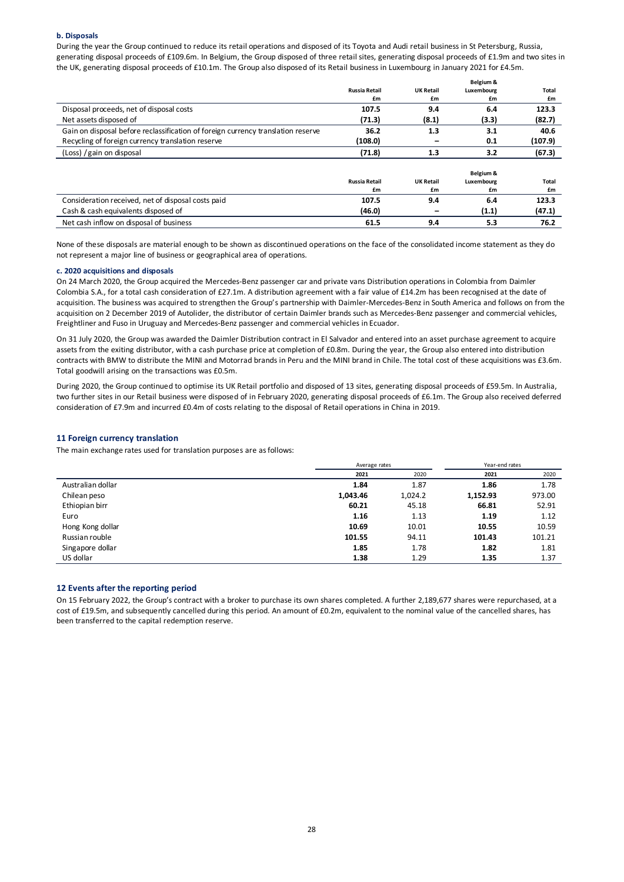#### **b. Disposals**

During the year the Group continued to reduce its retail operations and disposed of its Toyota and Audi retail business in St Petersburg, Russia, generating disposal proceeds of £109.6m. In Belgium, the Group disposed of three retail sites, generating disposal proceeds of £1.9m and two sites in the UK, generating disposal proceeds of £10.1m. The Group also disposed of its Retail business in Luxembourg in January 2021 for £4.5m.

|                                                                                  |                      |                  | Belgium &  |              |
|----------------------------------------------------------------------------------|----------------------|------------------|------------|--------------|
|                                                                                  | <b>Russia Retail</b> | <b>UK Retail</b> | Luxembourg | <b>Total</b> |
|                                                                                  | £m                   | £m               | £m         | £m           |
| Disposal proceeds, net of disposal costs                                         | 107.5                | 9.4              | 6.4        | 123.3        |
| Net assets disposed of                                                           | (71.3)               | (8.1)            | (3.3)      | (82.7)       |
| Gain on disposal before reclassification of foreign currency translation reserve | 36.2                 | 1.3              | 3.1        | 40.6         |
| Recycling of foreign currency translation reserve                                | (108.0)              |                  | 0.1        | (107.9)      |
| (Loss) / gain on disposal                                                        | (71.8)               | 1.3              | 3.2        | (67.3)       |
|                                                                                  |                      |                  |            |              |
|                                                                                  |                      |                  | Belgium &  |              |
|                                                                                  | <b>Russia Retail</b> | <b>UK Retail</b> | Luxembourg | Total        |
|                                                                                  | £m                   | £m               | £m         | £m           |
| Consideration received, net of disposal costs paid                               | 107.5                | 9.4              | 6.4        | 123.3        |
| Cash & cash equivalents disposed of                                              | (46.0)               | -                | (1.1)      | (47.1)       |
| Net cash inflow on disposal of business                                          | 61.5                 | 9.4              | 5.3        | 76.2         |

None of these disposals are material enough to be shown as discontinued operations on the face of the consolidated income statement as they do not represent a major line of business or geographical area of operations.

#### **c. 2020 acquisitions and disposals**

On 24 March 2020, the Group acquired the Mercedes-Benz passenger car and private vans Distribution operations in Colombia from Daimler Colombia S.A., for a total cash consideration of £27.1m. A distribution agreement with a fair value of £14.2m has been recognised at the date of acquisition. The business was acquired to strengthen the Group's partnership with Daimler-Mercedes-Benz in South America and follows on from the acquisition on 2 December 2019 of Autolider, the distributor of certain Daimler brands such as Mercedes-Benz passenger and commercial vehicles, Freightliner and Fuso in Uruguay and Mercedes-Benz passenger and commercial vehicles in Ecuador.

On 31 July 2020, the Group was awarded the Daimler Distribution contract in El Salvador and entered into an asset purchase agreement to acquire assets from the exiting distributor, with a cash purchase price at completion of £0.8m. During the year, the Group also entered into distribution contracts with BMW to distribute the MINI and Motorrad brands in Peru and the MINI brand in Chile. The total cost of these acquisitions was £3.6m. Total goodwill arising on the transactions was £0.5m.

During 2020, the Group continued to optimise its UK Retail portfolio and disposed of 13 sites, generating disposal proceeds of £59.5m. In Australia, two further sites in our Retail business were disposed of in February 2020, generating disposal proceeds of £6.1m. The Group also received deferred consideration of £7.9m and incurred £0.4m of costs relating to the disposal of Retail operations in China in 2019.

#### **11 Foreign currency translation**

The main exchange rates used for translation purposes are as follows:

|                   | Average rates |         | Year-end rates |        |
|-------------------|---------------|---------|----------------|--------|
|                   | 2021          | 2020    | 2021           | 2020   |
| Australian dollar | 1.84          | 1.87    | 1.86           | 1.78   |
| Chilean peso      | 1,043.46      | 1,024.2 | 1,152.93       | 973.00 |
| Ethiopian birr    | 60.21         | 45.18   | 66.81          | 52.91  |
| Euro              | 1.16          | 1.13    | 1.19           | 1.12   |
| Hong Kong dollar  | 10.69         | 10.01   | 10.55          | 10.59  |
| Russian rouble    | 101.55        | 94.11   | 101.43         | 101.21 |
| Singapore dollar  | 1.85          | 1.78    | 1.82           | 1.81   |
| US dollar         | 1.38          | 1.29    | 1.35           | 1.37   |

#### **12 Events after the reporting period**

On 15 February 2022, the Group's contract with a broker to purchase its own shares completed. A further 2,189,677 shares were repurchased, at a cost of £19.5m, and subsequently cancelled during this period. An amount of £0.2m, equivalent to the nominal value of the cancelled shares, has been transferred to the capital redemption reserve.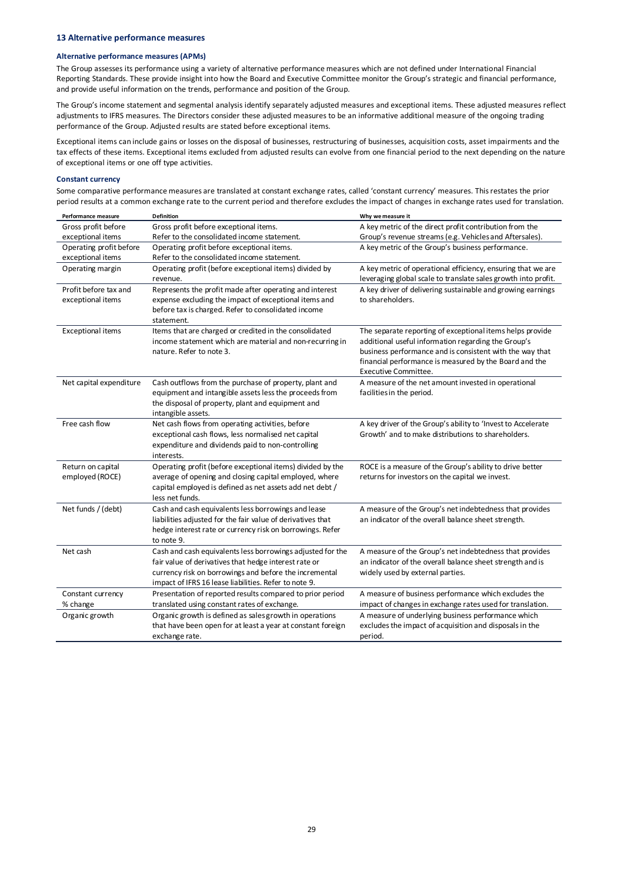#### **Alternative performance measures (APMs)**

The Group assesses its performance using a variety of alternative performance measures which are not defined under International Financial Reporting Standards. These provide insight into how the Board and Executive Committee monitor the Group's strategic and financial performance, and provide useful information on the trends, performance and position of the Group.

The Group's income statement and segmental analysis identify separately adjusted measures and exceptional items. These adjusted measures reflect adjustments to IFRS measures. The Directors consider these adjusted measures to be an informative additional measure of the ongoing trading performance of the Group. Adjusted results are stated before exceptional items.

Exceptional items can include gains or losses on the disposal of businesses, restructuring of businesses, acquisition costs, asset impairments and the tax effects of these items. Exceptional items excluded from adjusted results can evolve from one financial period to the next depending on the nature of exceptional items or one off type activities.

#### **Constant currency**

Some comparative performance measures are translated at constant exchange rates, called 'constant currency' measures. This restates the prior period results at a common exchange rate to the current period and therefore excludes the impact of changes in exchange rates used for translation.

| Performance measure     | <b>Definition</b>                                           | Why we measure it                                                              |
|-------------------------|-------------------------------------------------------------|--------------------------------------------------------------------------------|
| Gross profit before     | Gross profit before exceptional items.                      | A key metric of the direct profit contribution from the                        |
| exceptional items       | Refer to the consolidated income statement.                 | Group's revenue streams (e.g. Vehicles and Aftersales).                        |
| Operating profit before | Operating profit before exceptional items.                  | A key metric of the Group's business performance.                              |
| exceptional items       | Refer to the consolidated income statement.                 |                                                                                |
| Operating margin        | Operating profit (before exceptional items) divided by      | A key metric of operational efficiency, ensuring that we are                   |
|                         | revenue.                                                    | leveraging global scale to translate sales growth into profit.                 |
| Profit before tax and   | Represents the profit made after operating and interest     | A key driver of delivering sustainable and growing earnings                    |
| exceptional items       | expense excluding the impact of exceptional items and       | to shareholders.                                                               |
|                         | before tax is charged. Refer to consolidated income         |                                                                                |
|                         | statement.                                                  |                                                                                |
| Exceptional items       | Items that are charged or credited in the consolidated      | The separate reporting of exceptional items helps provide                      |
|                         | income statement which are material and non-recurring in    | additional useful information regarding the Group's                            |
|                         | nature. Refer to note 3.                                    | business performance and is consistent with the way that                       |
|                         |                                                             | financial performance is measured by the Board and the<br>Executive Committee. |
| Net capital expenditure | Cash outflows from the purchase of property, plant and      | A measure of the net amount invested in operational                            |
|                         | equipment and intangible assets less the proceeds from      | facilities in the period.                                                      |
|                         | the disposal of property, plant and equipment and           |                                                                                |
|                         | intangible assets.                                          |                                                                                |
| Free cash flow          | Net cash flows from operating activities, before            | A key driver of the Group's ability to 'Invest to Accelerate                   |
|                         | exceptional cash flows, less normalised net capital         | Growth' and to make distributions to shareholders.                             |
|                         | expenditure and dividends paid to non-controlling           |                                                                                |
|                         | interests.                                                  |                                                                                |
| Return on capital       | Operating profit (before exceptional items) divided by the  | ROCE is a measure of the Group's ability to drive better                       |
| employed (ROCE)         | average of opening and closing capital employed, where      | returns for investors on the capital we invest.                                |
|                         | capital employed is defined as net assets add net debt /    |                                                                                |
|                         | less net funds.                                             |                                                                                |
| Net funds / (debt)      | Cash and cash equivalents less borrowings and lease         | A measure of the Group's net indebtedness that provides                        |
|                         | liabilities adjusted for the fair value of derivatives that | an indicator of the overall balance sheet strength.                            |
|                         | hedge interest rate or currency risk on borrowings. Refer   |                                                                                |
|                         | to note 9.                                                  |                                                                                |
| Net cash                | Cash and cash equivalents less borrowings adjusted for the  | A measure of the Group's net indebtedness that provides                        |
|                         | fair value of derivatives that hedge interest rate or       | an indicator of the overall balance sheet strength and is                      |
|                         | currency risk on borrowings and before the incremental      | widely used by external parties.                                               |
|                         | impact of IFRS 16 lease liabilities. Refer to note 9.       |                                                                                |
| Constant currency       | Presentation of reported results compared to prior period   | A measure of business performance which excludes the                           |
| % change                | translated using constant rates of exchange.                | impact of changes in exchange rates used for translation.                      |
| Organic growth          | Organic growth is defined as sales growth in operations     | A measure of underlying business performance which                             |
|                         | that have been open for at least a year at constant foreign | excludes the impact of acquisition and disposals in the                        |
|                         | exchange rate.                                              | period.                                                                        |